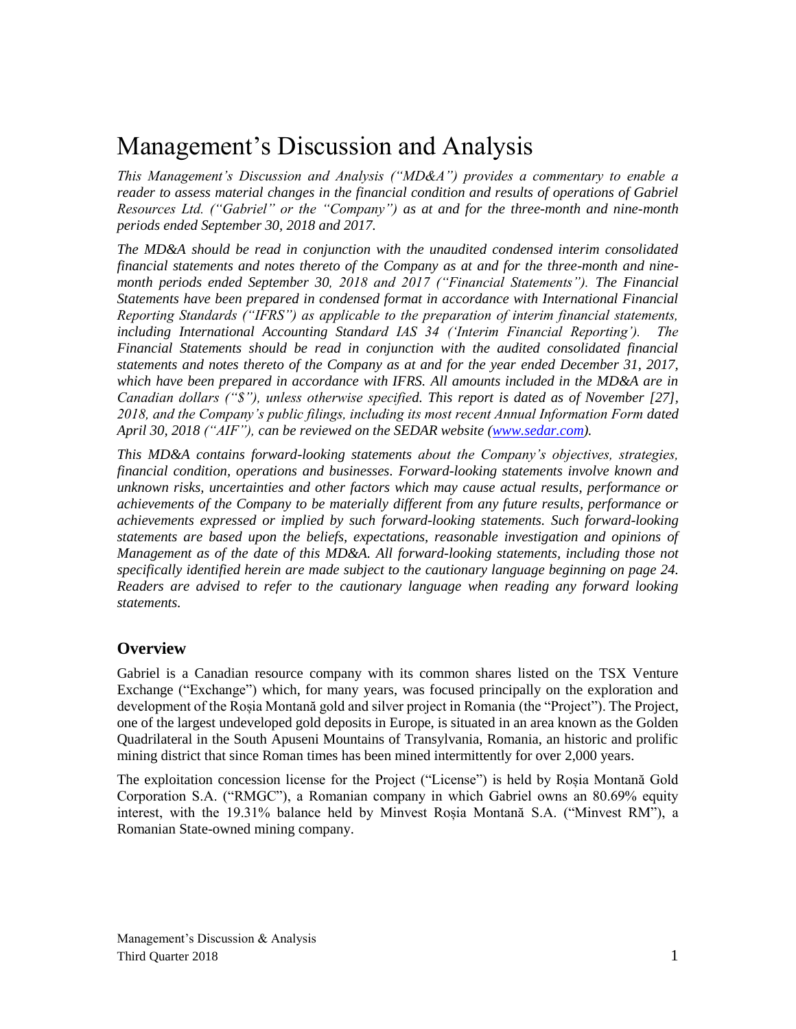# Management's Discussion and Analysis

*This Management's Discussion and Analysis ("MD&A") provides a commentary to enable a reader to assess material changes in the financial condition and results of operations of Gabriel Resources Ltd. ("Gabriel" or the "Company") as at and for the three-month and nine-month periods ended September 30, 2018 and 2017.*

*The MD&A should be read in conjunction with the unaudited condensed interim consolidated financial statements and notes thereto of the Company as at and for the three-month and ninemonth periods ended September 30, 2018 and 2017 ("Financial Statements"). The Financial Statements have been prepared in condensed format in accordance with International Financial Reporting Standards ("IFRS") as applicable to the preparation of interim financial statements, including International Accounting Standard IAS 34 ('Interim Financial Reporting'). The Financial Statements should be read in conjunction with the audited consolidated financial statements and notes thereto of the Company as at and for the year ended December 31, 2017, which have been prepared in accordance with IFRS. All amounts included in the MD&A are in Canadian dollars ("\$"), unless otherwise specified. This report is dated as of November [27], 2018, and the Company's public filings, including its most recent Annual Information Form dated* April 30, 2018 ("AIF"), can be reviewed on the SEDAR website [\(www.sedar.com\)](http://www.sedar.com/).

*This MD&A contains forward-looking statements about the Company's objectives, strategies, financial condition, operations and businesses. Forward-looking statements involve known and unknown risks, uncertainties and other factors which may cause actual results, performance or achievements of the Company to be materially different from any future results, performance or achievements expressed or implied by such forward-looking statements. Such forward-looking statements are based upon the beliefs, expectations, reasonable investigation and opinions of Management as of the date of this MD&A. All forward-looking statements, including those not specifically identified herein are made subject to the cautionary language beginning on page 24. Readers are advised to refer to the cautionary language when reading any forward looking statements.*

## **Overview**

Gabriel is a Canadian resource company with its common shares listed on the TSX Venture Exchange ("Exchange") which, for many years, was focused principally on the exploration and development of the Roșia Montană gold and silver project in Romania (the "Project"). The Project, one of the largest undeveloped gold deposits in Europe, is situated in an area known as the Golden Quadrilateral in the South Apuseni Mountains of Transylvania, Romania, an historic and prolific mining district that since Roman times has been mined intermittently for over 2,000 years.

The exploitation concession license for the Project ("License") is held by Roșia Montană Gold Corporation S.A. ("RMGC"), a Romanian company in which Gabriel owns an 80.69% equity interest, with the 19.31% balance held by Minvest Roșia Montană S.A. ("Minvest RM"), a Romanian State-owned mining company.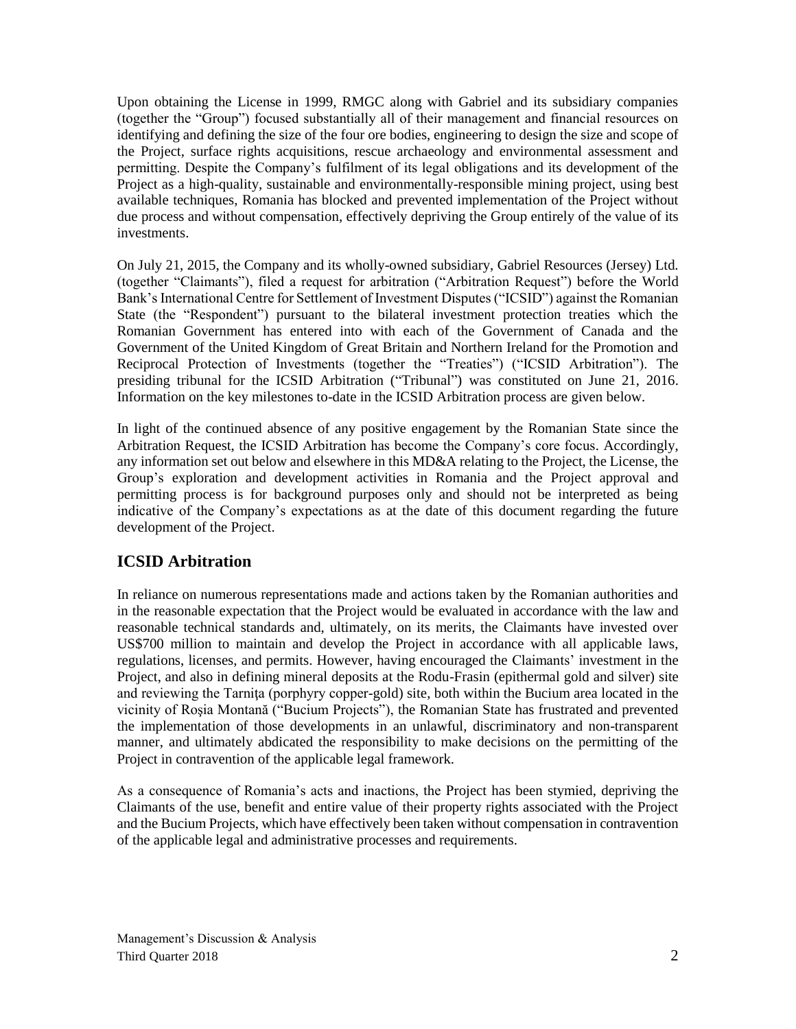Upon obtaining the License in 1999, RMGC along with Gabriel and its subsidiary companies (together the "Group") focused substantially all of their management and financial resources on identifying and defining the size of the four ore bodies, engineering to design the size and scope of the Project, surface rights acquisitions, rescue archaeology and environmental assessment and permitting. Despite the Company's fulfilment of its legal obligations and its development of the Project as a high-quality, sustainable and environmentally-responsible mining project, using best available techniques, Romania has blocked and prevented implementation of the Project without due process and without compensation, effectively depriving the Group entirely of the value of its investments.

On July 21, 2015, the Company and its wholly-owned subsidiary, Gabriel Resources (Jersey) Ltd. (together "Claimants"), filed a request for arbitration ("Arbitration Request") before the World Bank's International Centre for Settlement of Investment Disputes ("ICSID") against the Romanian State (the "Respondent") pursuant to the bilateral investment protection treaties which the Romanian Government has entered into with each of the Government of Canada and the Government of the United Kingdom of Great Britain and Northern Ireland for the Promotion and Reciprocal Protection of Investments (together the "Treaties") ("ICSID Arbitration"). The presiding tribunal for the ICSID Arbitration ("Tribunal") was constituted on June 21, 2016. Information on the key milestones to-date in the ICSID Arbitration process are given below.

In light of the continued absence of any positive engagement by the Romanian State since the Arbitration Request, the ICSID Arbitration has become the Company's core focus. Accordingly, any information set out below and elsewhere in this MD&A relating to the Project, the License, the Group's exploration and development activities in Romania and the Project approval and permitting process is for background purposes only and should not be interpreted as being indicative of the Company's expectations as at the date of this document regarding the future development of the Project.

# **ICSID Arbitration**

In reliance on numerous representations made and actions taken by the Romanian authorities and in the reasonable expectation that the Project would be evaluated in accordance with the law and reasonable technical standards and, ultimately, on its merits, the Claimants have invested over US\$700 million to maintain and develop the Project in accordance with all applicable laws, regulations, licenses, and permits. However, having encouraged the Claimants' investment in the Project, and also in defining mineral deposits at the Rodu-Frasin (epithermal gold and silver) site and reviewing the Tarniţa (porphyry copper-gold) site, both within the Bucium area located in the vicinity of Roşia Montană ("Bucium Projects"), the Romanian State has frustrated and prevented the implementation of those developments in an unlawful, discriminatory and non-transparent manner, and ultimately abdicated the responsibility to make decisions on the permitting of the Project in contravention of the applicable legal framework.

As a consequence of Romania's acts and inactions, the Project has been stymied, depriving the Claimants of the use, benefit and entire value of their property rights associated with the Project and the Bucium Projects, which have effectively been taken without compensation in contravention of the applicable legal and administrative processes and requirements.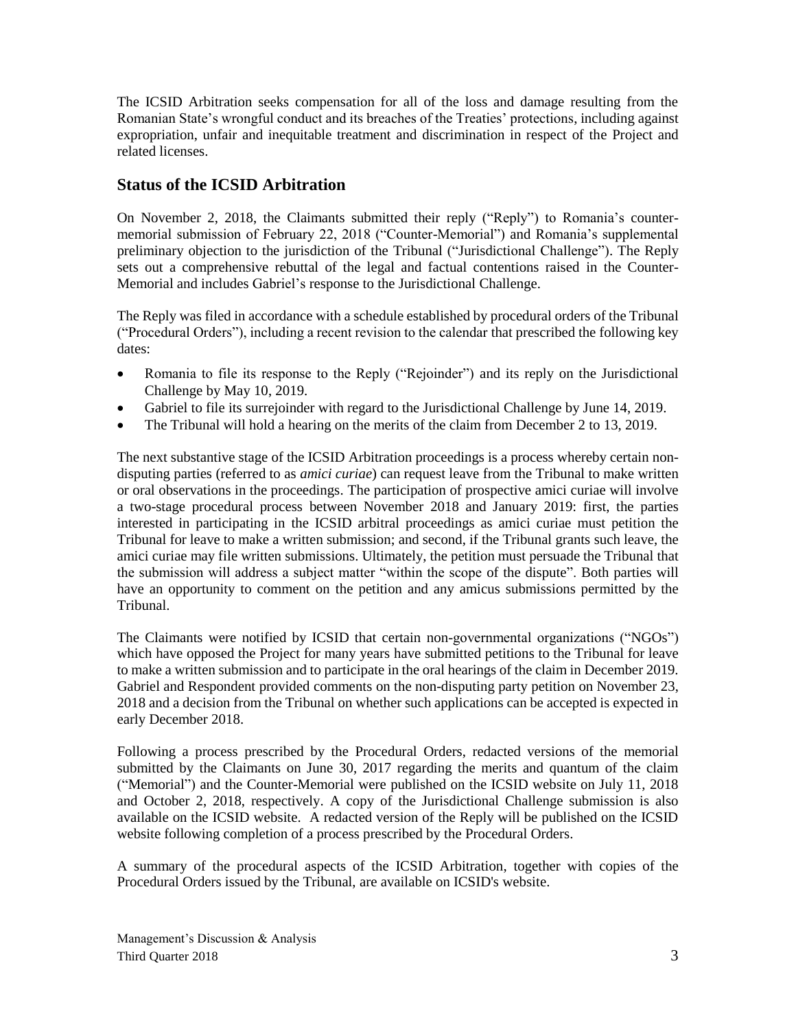The ICSID Arbitration seeks compensation for all of the loss and damage resulting from the Romanian State's wrongful conduct and its breaches of the Treaties' protections, including against expropriation, unfair and inequitable treatment and discrimination in respect of the Project and related licenses.

# **Status of the ICSID Arbitration**

On November 2, 2018, the Claimants submitted their reply ("Reply") to Romania's countermemorial submission of February 22, 2018 ("Counter-Memorial") and Romania's supplemental preliminary objection to the jurisdiction of the Tribunal ("Jurisdictional Challenge"). The Reply sets out a comprehensive rebuttal of the legal and factual contentions raised in the Counter-Memorial and includes Gabriel's response to the Jurisdictional Challenge.

The Reply was filed in accordance with a schedule established by procedural orders of the Tribunal ("Procedural Orders"), including a recent revision to the calendar that prescribed the following key dates:

- Romania to file its response to the Reply ("Rejoinder") and its reply on the Jurisdictional Challenge by May 10, 2019.
- Gabriel to file its surrejoinder with regard to the Jurisdictional Challenge by June 14, 2019.
- The Tribunal will hold a hearing on the merits of the claim from December 2 to 13, 2019.

The next substantive stage of the ICSID Arbitration proceedings is a process whereby certain nondisputing parties (referred to as *amici curiae*) can request leave from the Tribunal to make written or oral observations in the proceedings. The participation of prospective amici curiae will involve a two-stage procedural process between November 2018 and January 2019: first, the parties interested in participating in the ICSID arbitral proceedings as amici curiae must petition the Tribunal for leave to make a written submission; and second, if the Tribunal grants such leave, the amici curiae may file written submissions. Ultimately, the petition must persuade the Tribunal that the submission will address a subject matter "within the scope of the dispute". Both parties will have an opportunity to comment on the petition and any amicus submissions permitted by the Tribunal.

The Claimants were notified by ICSID that certain non-governmental organizations ("NGOs") which have opposed the Project for many years have submitted petitions to the Tribunal for leave to make a written submission and to participate in the oral hearings of the claim in December 2019. Gabriel and Respondent provided comments on the non-disputing party petition on November 23, 2018 and a decision from the Tribunal on whether such applications can be accepted is expected in early December 2018.

Following a process prescribed by the Procedural Orders, redacted versions of the memorial submitted by the Claimants on June 30, 2017 regarding the merits and quantum of the claim ("Memorial") and the Counter-Memorial were published on the ICSID website on July 11, 2018 and October 2, 2018, respectively. A copy of the Jurisdictional Challenge submission is also available on the ICSID website. A redacted version of the Reply will be published on the ICSID website following completion of a process prescribed by the Procedural Orders.

A summary of the procedural aspects of the ICSID Arbitration, together with copies of the Procedural Orders issued by the Tribunal, are available on ICSID's website.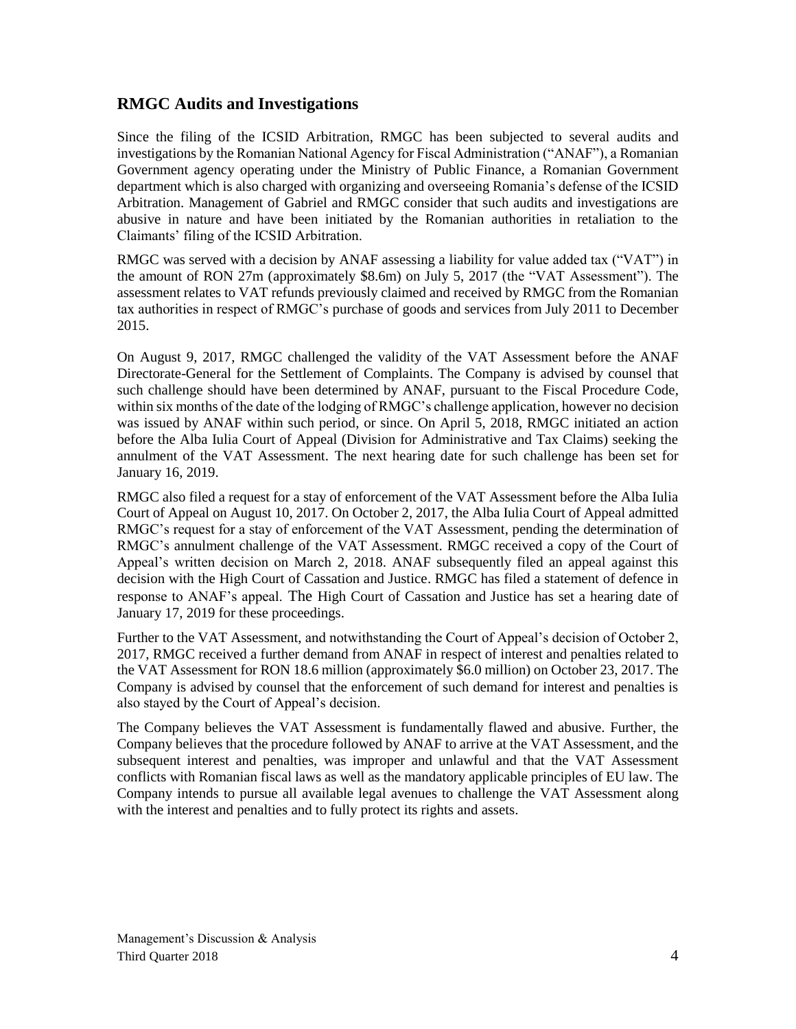## **RMGC Audits and Investigations**

Since the filing of the ICSID Arbitration, RMGC has been subjected to several audits and investigations by the Romanian National Agency for Fiscal Administration ("ANAF"), a Romanian Government agency operating under the Ministry of Public Finance, a Romanian Government department which is also charged with organizing and overseeing Romania's defense of the ICSID Arbitration. Management of Gabriel and RMGC consider that such audits and investigations are abusive in nature and have been initiated by the Romanian authorities in retaliation to the Claimants' filing of the ICSID Arbitration.

RMGC was served with a decision by ANAF assessing a liability for value added tax ("VAT") in the amount of RON 27m (approximately \$8.6m) on July 5, 2017 (the "VAT Assessment"). The assessment relates to VAT refunds previously claimed and received by RMGC from the Romanian tax authorities in respect of RMGC's purchase of goods and services from July 2011 to December 2015.

On August 9, 2017, RMGC challenged the validity of the VAT Assessment before the ANAF Directorate-General for the Settlement of Complaints. The Company is advised by counsel that such challenge should have been determined by ANAF, pursuant to the Fiscal Procedure Code, within six months of the date of the lodging of RMGC's challenge application, however no decision was issued by ANAF within such period, or since. On April 5, 2018, RMGC initiated an action before the Alba Iulia Court of Appeal (Division for Administrative and Tax Claims) seeking the annulment of the VAT Assessment. The next hearing date for such challenge has been set for January 16, 2019.

RMGC also filed a request for a stay of enforcement of the VAT Assessment before the Alba Iulia Court of Appeal on August 10, 2017. On October 2, 2017, the Alba Iulia Court of Appeal admitted RMGC's request for a stay of enforcement of the VAT Assessment, pending the determination of RMGC's annulment challenge of the VAT Assessment. RMGC received a copy of the Court of Appeal's written decision on March 2, 2018. ANAF subsequently filed an appeal against this decision with the High Court of Cassation and Justice. RMGC has filed a statement of defence in response to ANAF's appeal. The High Court of Cassation and Justice has set a hearing date of January 17, 2019 for these proceedings.

Further to the VAT Assessment, and notwithstanding the Court of Appeal's decision of October 2, 2017, RMGC received a further demand from ANAF in respect of interest and penalties related to the VAT Assessment for RON 18.6 million (approximately \$6.0 million) on October 23, 2017. The Company is advised by counsel that the enforcement of such demand for interest and penalties is also stayed by the Court of Appeal's decision.

The Company believes the VAT Assessment is fundamentally flawed and abusive. Further, the Company believes that the procedure followed by ANAF to arrive at the VAT Assessment, and the subsequent interest and penalties, was improper and unlawful and that the VAT Assessment conflicts with Romanian fiscal laws as well as the mandatory applicable principles of EU law. The Company intends to pursue all available legal avenues to challenge the VAT Assessment along with the interest and penalties and to fully protect its rights and assets.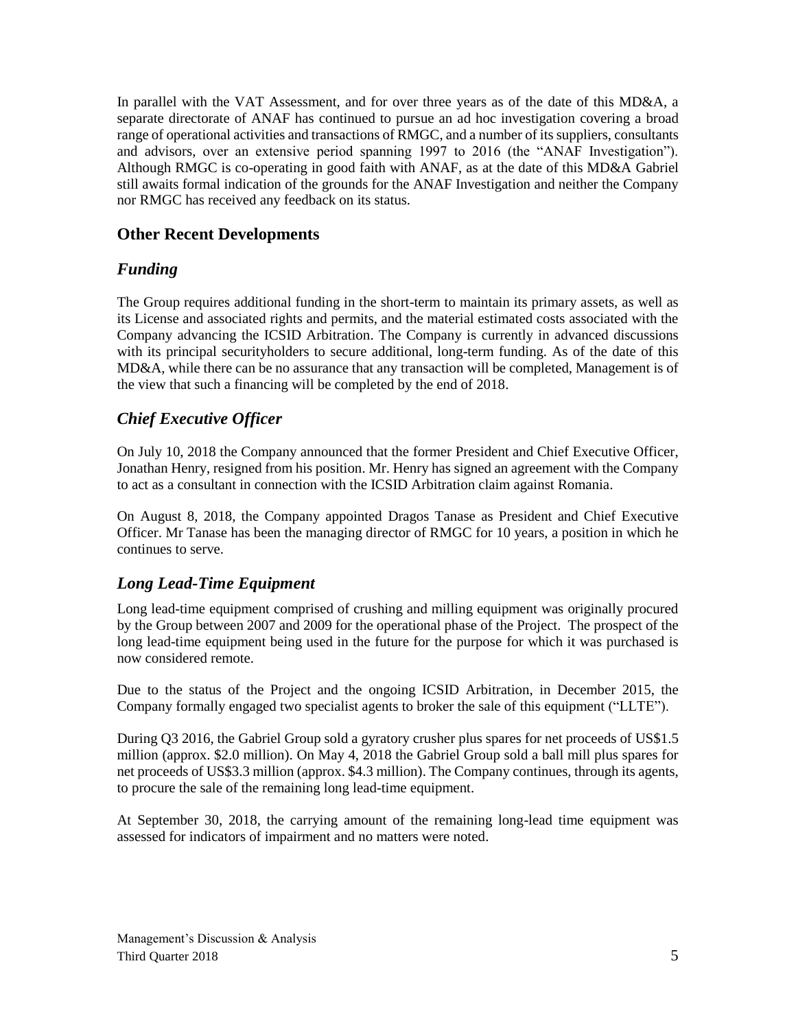In parallel with the VAT Assessment, and for over three years as of the date of this MD&A, a separate directorate of ANAF has continued to pursue an ad hoc investigation covering a broad range of operational activities and transactions of RMGC, and a number of its suppliers, consultants and advisors, over an extensive period spanning 1997 to 2016 (the "ANAF Investigation"). Although RMGC is co-operating in good faith with ANAF, as at the date of this MD&A Gabriel still awaits formal indication of the grounds for the ANAF Investigation and neither the Company nor RMGC has received any feedback on its status.

# **Other Recent Developments**

# *Funding*

The Group requires additional funding in the short-term to maintain its primary assets, as well as its License and associated rights and permits, and the material estimated costs associated with the Company advancing the ICSID Arbitration. The Company is currently in advanced discussions with its principal securityholders to secure additional, long-term funding. As of the date of this MD&A, while there can be no assurance that any transaction will be completed, Management is of the view that such a financing will be completed by the end of 2018.

# *Chief Executive Officer*

On July 10, 2018 the Company announced that the former President and Chief Executive Officer, Jonathan Henry, resigned from his position. Mr. Henry has signed an agreement with the Company to act as a consultant in connection with the ICSID Arbitration claim against Romania.

On August 8, 2018, the Company appointed Dragos Tanase as President and Chief Executive Officer. Mr Tanase has been the managing director of RMGC for 10 years, a position in which he continues to serve.

# *Long Lead-Time Equipment*

Long lead-time equipment comprised of crushing and milling equipment was originally procured by the Group between 2007 and 2009 for the operational phase of the Project. The prospect of the long lead-time equipment being used in the future for the purpose for which it was purchased is now considered remote.

Due to the status of the Project and the ongoing ICSID Arbitration, in December 2015, the Company formally engaged two specialist agents to broker the sale of this equipment ("LLTE").

During Q3 2016, the Gabriel Group sold a gyratory crusher plus spares for net proceeds of US\$1.5 million (approx. \$2.0 million). On May 4, 2018 the Gabriel Group sold a ball mill plus spares for net proceeds of US\$3.3 million (approx. \$4.3 million). The Company continues, through its agents, to procure the sale of the remaining long lead-time equipment.

At September 30, 2018, the carrying amount of the remaining long-lead time equipment was assessed for indicators of impairment and no matters were noted.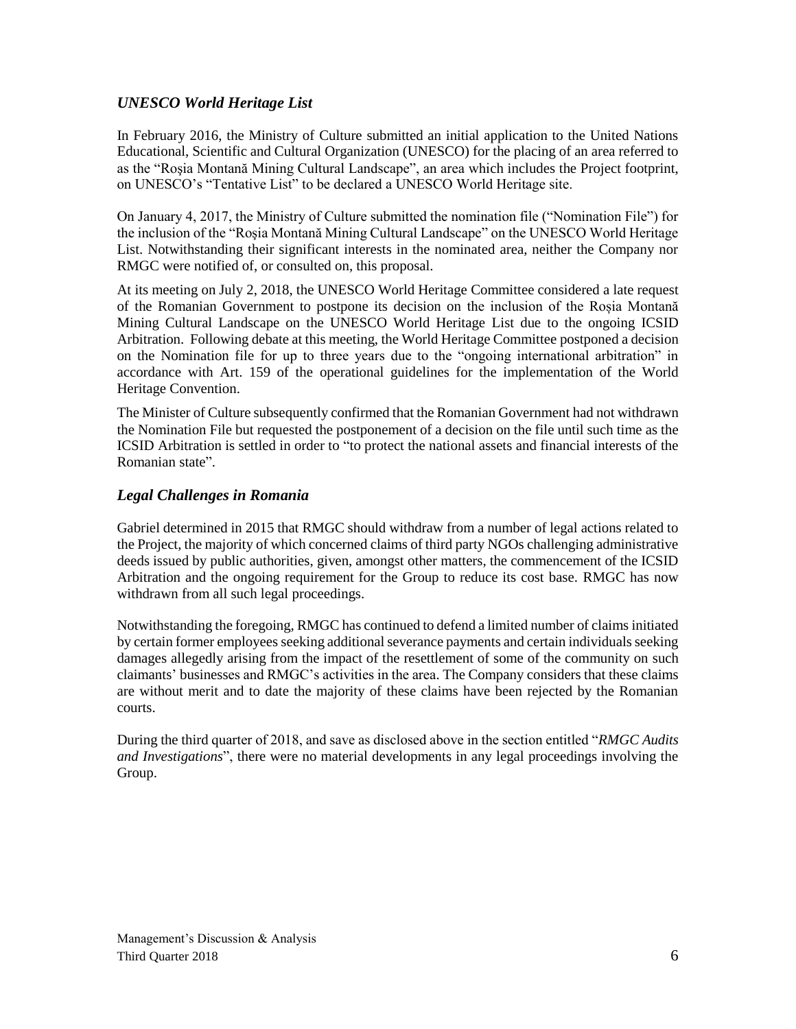## *UNESCO World Heritage List*

In February 2016, the Ministry of Culture submitted an initial application to the United Nations Educational, Scientific and Cultural Organization (UNESCO) for the placing of an area referred to as the "Roşia Montană Mining Cultural Landscape", an area which includes the Project footprint, on UNESCO's "Tentative List" to be declared a UNESCO World Heritage site.

On January 4, 2017, the Ministry of Culture submitted the nomination file ("Nomination File") for the inclusion of the "Roşia Montană Mining Cultural Landscape" on the UNESCO World Heritage List. Notwithstanding their significant interests in the nominated area, neither the Company nor RMGC were notified of, or consulted on, this proposal.

At its meeting on July 2, 2018, the UNESCO World Heritage Committee considered a late request of the Romanian Government to postpone its decision on the inclusion of the Roșia Montană Mining Cultural Landscape on the UNESCO World Heritage List due to the ongoing ICSID Arbitration. Following debate at this meeting, the World Heritage Committee postponed a decision on the Nomination file for up to three years due to the "ongoing international arbitration" in accordance with Art. 159 of the operational guidelines for the implementation of the World Heritage Convention.

The Minister of Culture subsequently confirmed that the Romanian Government had not withdrawn the Nomination File but requested the postponement of a decision on the file until such time as the ICSID Arbitration is settled in order to "to protect the national assets and financial interests of the Romanian state".

## *Legal Challenges in Romania*

Gabriel determined in 2015 that RMGC should withdraw from a number of legal actions related to the Project, the majority of which concerned claims of third party NGOs challenging administrative deeds issued by public authorities, given, amongst other matters, the commencement of the ICSID Arbitration and the ongoing requirement for the Group to reduce its cost base. RMGC has now withdrawn from all such legal proceedings.

Notwithstanding the foregoing, RMGC has continued to defend a limited number of claims initiated by certain former employees seeking additional severance payments and certain individuals seeking damages allegedly arising from the impact of the resettlement of some of the community on such claimants' businesses and RMGC's activities in the area. The Company considers that these claims are without merit and to date the majority of these claims have been rejected by the Romanian courts.

During the third quarter of 2018, and save as disclosed above in the section entitled "*RMGC Audits and Investigations*", there were no material developments in any legal proceedings involving the Group.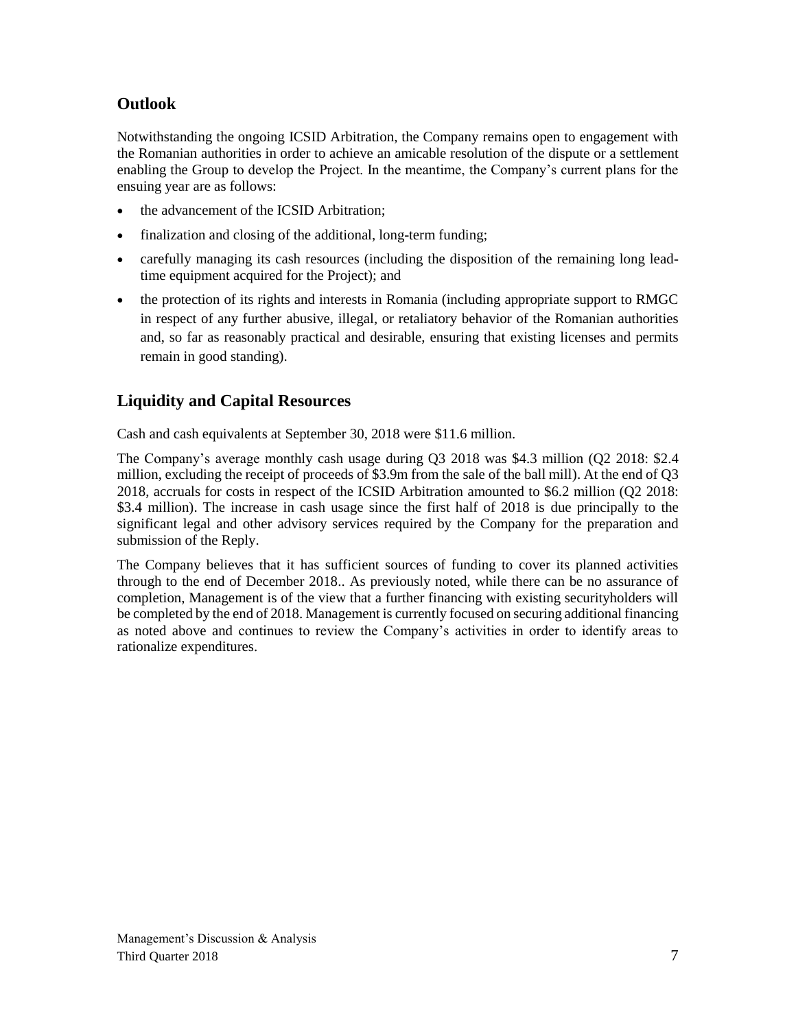# **Outlook**

Notwithstanding the ongoing ICSID Arbitration, the Company remains open to engagement with the Romanian authorities in order to achieve an amicable resolution of the dispute or a settlement enabling the Group to develop the Project. In the meantime, the Company's current plans for the ensuing year are as follows:

- the advancement of the ICSID Arbitration;
- finalization and closing of the additional, long-term funding;
- carefully managing its cash resources (including the disposition of the remaining long leadtime equipment acquired for the Project); and
- the protection of its rights and interests in Romania (including appropriate support to RMGC in respect of any further abusive, illegal, or retaliatory behavior of the Romanian authorities and, so far as reasonably practical and desirable, ensuring that existing licenses and permits remain in good standing).

# **Liquidity and Capital Resources**

Cash and cash equivalents at September 30, 2018 were \$11.6 million.

The Company's average monthly cash usage during Q3 2018 was \$4.3 million (Q2 2018: \$2.4 million, excluding the receipt of proceeds of \$3.9m from the sale of the ball mill). At the end of Q3 2018, accruals for costs in respect of the ICSID Arbitration amounted to \$6.2 million (Q2 2018: \$3.4 million). The increase in cash usage since the first half of 2018 is due principally to the significant legal and other advisory services required by the Company for the preparation and submission of the Reply.

The Company believes that it has sufficient sources of funding to cover its planned activities through to the end of December 2018.. As previously noted, while there can be no assurance of completion, Management is of the view that a further financing with existing securityholders will be completed by the end of 2018. Management is currently focused on securing additional financing as noted above and continues to review the Company's activities in order to identify areas to rationalize expenditures.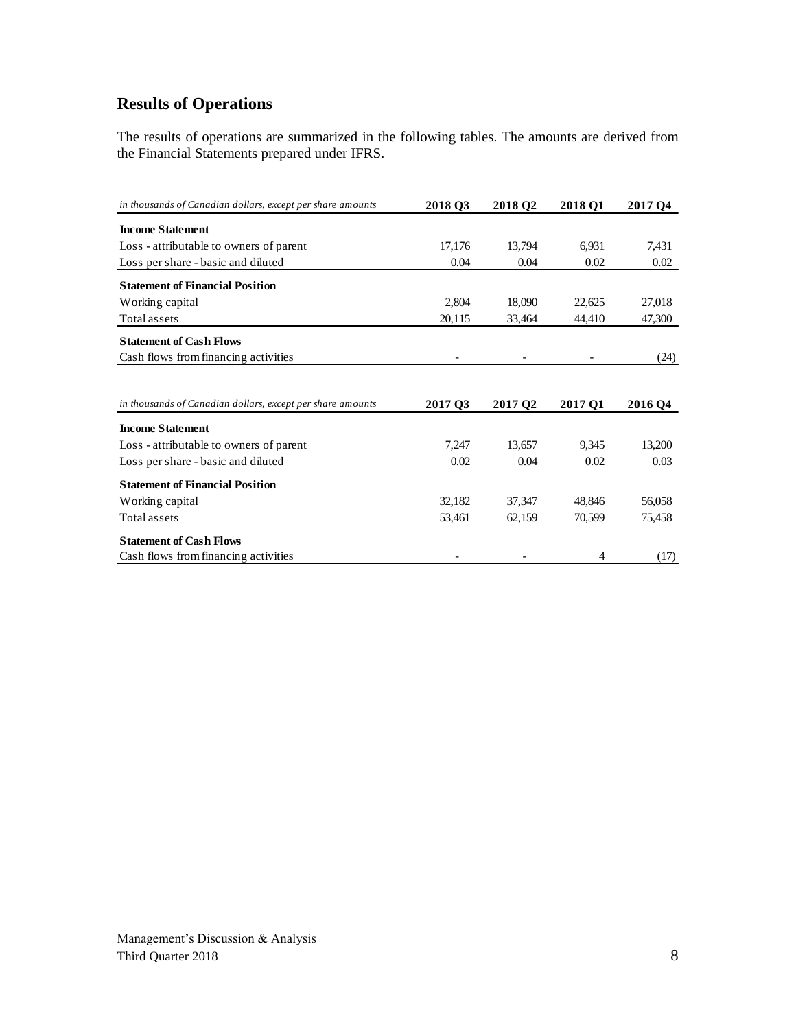# **Results of Operations**

The results of operations are summarized in the following tables. The amounts are derived from the Financial Statements prepared under IFRS.

| in thousands of Canadian dollars, except per share amounts | 2018 03 | 2018 O <sub>2</sub> | <b>2018 O1</b> | 2017 O <sub>4</sub> |
|------------------------------------------------------------|---------|---------------------|----------------|---------------------|
| <b>Income Statement</b>                                    |         |                     |                |                     |
| Loss - attributable to owners of parent                    | 17,176  | 13,794              | 6,931          | 7,431               |
| Loss per share - basic and diluted                         | 0.04    | 0.04                | 0.02           | 0.02                |
| <b>Statement of Financial Position</b>                     |         |                     |                |                     |
| Working capital                                            | 2,804   | 18,090              | 22,625         | 27,018              |
| Total assets                                               | 20,115  | 33,464              | 44,410         | 47,300              |
| <b>Statement of Cash Flows</b>                             |         |                     |                |                     |
| Cash flows from financing activities                       |         |                     |                | (24)                |
|                                                            |         |                     |                |                     |
| in thousands of Canadian dollars, except per share amounts | 2017 Q3 | 2017 Q <sub>2</sub> | 2017 Q1        |                     |
|                                                            |         |                     |                | 2016 Q4             |
| <b>Income Statement</b>                                    |         |                     |                |                     |
| Loss - attributable to owners of parent                    | 7,247   | 13.657              | 9,345          | 13,200              |
| Loss per share - basic and diluted                         | 0.02    | 0.04                | 0.02           | 0.03                |
| <b>Statement of Financial Position</b>                     |         |                     |                |                     |
| Working capital                                            | 32,182  | 37,347              | 48,846         | 56,058              |
| Total assets                                               | 53,461  | 62,159              | 70,599         | 75,458              |
| <b>Statement of Cash Flows</b>                             |         |                     |                |                     |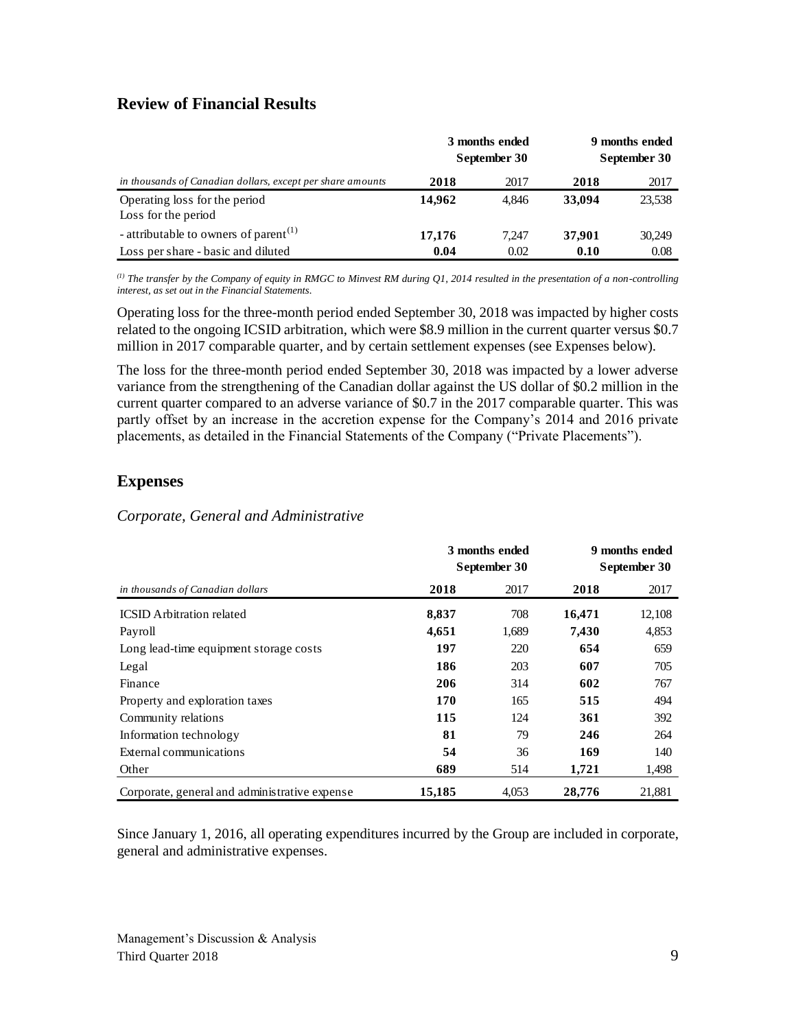## **Review of Financial Results**

|                                                            |        | 3 months ended<br>September 30 | 9 months ended<br>September 30 |        |
|------------------------------------------------------------|--------|--------------------------------|--------------------------------|--------|
| in thousands of Canadian dollars, except per share amounts | 2018   | 2017                           | 2018                           | 2017   |
| Operating loss for the period<br>Loss for the period       | 14,962 | 4.846                          | 33,094                         | 23,538 |
| - attributable to owners of parent <sup>(1)</sup>          | 17,176 | 7.247                          | 37,901                         | 30,249 |
| Loss per share - basic and diluted                         | 0.04   | 0.02                           | 0.10                           | 0.08   |

*(1) The transfer by the Company of equity in RMGC to Minvest RM during Q1, 2014 resulted in the presentation of a non-controlling interest, as set out in the Financial Statements.*

Operating loss for the three-month period ended September 30, 2018 was impacted by higher costs related to the ongoing ICSID arbitration, which were \$8.9 million in the current quarter versus \$0.7 million in 2017 comparable quarter, and by certain settlement expenses (see Expenses below).

The loss for the three-month period ended September 30, 2018 was impacted by a lower adverse variance from the strengthening of the Canadian dollar against the US dollar of \$0.2 million in the current quarter compared to an adverse variance of \$0.7 in the 2017 comparable quarter. This was partly offset by an increase in the accretion expense for the Company's 2014 and 2016 private placements, as detailed in the Financial Statements of the Company ("Private Placements").

## **Expenses**

#### *Corporate, General and Administrative*

|                                               |        | 3 months ended<br>September 30 | 9 months ended<br>September 30 |        |  |
|-----------------------------------------------|--------|--------------------------------|--------------------------------|--------|--|
| in thousands of Canadian dollars              | 2018   | 2017                           | 2018                           | 2017   |  |
| <b>ICSID</b> Arbitration related              | 8,837  | 708                            | 16,471                         | 12,108 |  |
| Payroll                                       | 4,651  | 1,689                          | 7,430                          | 4,853  |  |
| Long lead-time equipment storage costs        | 197    | 220                            | 654                            | 659    |  |
| Legal                                         | 186    | 203                            | 607                            | 705    |  |
| Finance                                       | 206    | 314                            | 602                            | 767    |  |
| Property and exploration taxes                | 170    | 165                            | 515                            | 494    |  |
| Community relations                           | 115    | 124                            | 361                            | 392    |  |
| Information technology                        | 81     | 79                             | 246                            | 264    |  |
| External communications                       | 54     | 36                             | 169                            | 140    |  |
| Other                                         | 689    | 514                            | 1,721                          | 1,498  |  |
| Corporate, general and administrative expense | 15,185 | 4,053                          | 28,776                         | 21,881 |  |

Since January 1, 2016, all operating expenditures incurred by the Group are included in corporate, general and administrative expenses.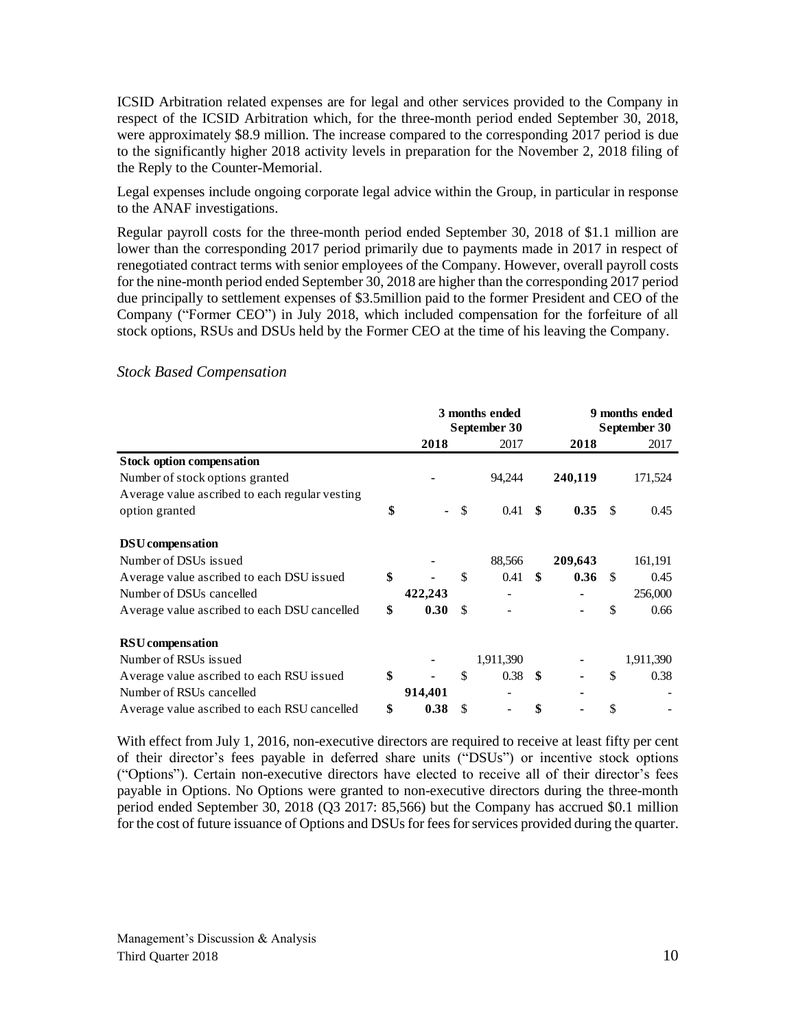ICSID Arbitration related expenses are for legal and other services provided to the Company in respect of the ICSID Arbitration which, for the three-month period ended September 30, 2018, were approximately \$8.9 million. The increase compared to the corresponding 2017 period is due to the significantly higher 2018 activity levels in preparation for the November 2, 2018 filing of the Reply to the Counter-Memorial.

Legal expenses include ongoing corporate legal advice within the Group, in particular in response to the ANAF investigations.

Regular payroll costs for the three-month period ended September 30, 2018 of \$1.1 million are lower than the corresponding 2017 period primarily due to payments made in 2017 in respect of renegotiated contract terms with senior employees of the Company. However, overall payroll costs for the nine-month period ended September 30, 2018 are higher than the corresponding 2017 period due principally to settlement expenses of \$3.5million paid to the former President and CEO of the Company ("Former CEO") in July 2018, which included compensation for the forfeiture of all stock options, RSUs and DSUs held by the Former CEO at the time of his leaving the Company.

|                                                 | 3 months ended<br>September 30 |    |                   | 9 months ended<br>September 30 |         |      |           |
|-------------------------------------------------|--------------------------------|----|-------------------|--------------------------------|---------|------|-----------|
|                                                 | 2018                           |    | 2017              |                                | 2018    |      | 2017      |
| <b>Stock option compensation</b>                |                                |    |                   |                                |         |      |           |
| Number of stock options granted                 |                                |    | 94,244            |                                | 240,119 |      | 171,524   |
| Average value as cribed to each regular vesting |                                |    |                   |                                |         |      |           |
| option granted                                  | \$                             | \$ | $0.41 \quad$ \$   |                                | 0.35    | \$   | 0.45      |
| <b>DSU</b> compensation                         |                                |    |                   |                                |         |      |           |
| Number of DSUs issued                           |                                |    | 88,566            |                                | 209,643 |      | 161,191   |
| Average value ascribed to each DSU issued       | \$                             | \$ | 0.41              | -\$                            | 0.36    | - \$ | 0.45      |
| Number of DSUs cancelled                        | 422,243                        |    |                   |                                |         |      | 256,000   |
| Average value as cribed to each DSU cancelled   | \$<br>0.30                     | \$ |                   |                                |         | \$   | 0.66      |
| <b>RSU</b> compensation                         |                                |    |                   |                                |         |      |           |
| Number of RSUs issued                           |                                |    | 1,911,390         |                                |         |      | 1,911,390 |
| Average value ascribed to each RSU issued       | \$                             | \$ | 0.38 <sup>5</sup> |                                |         | \$   | 0.38      |
| Number of RSUs cancelled                        | 914,401                        |    |                   |                                |         |      |           |
| Average value as cribed to each RSU cancelled   | \$<br>0.38                     | \$ |                   | \$                             |         | \$   |           |

#### *Stock Based Compensation*

With effect from July 1, 2016, non-executive directors are required to receive at least fifty per cent of their director's fees payable in deferred share units ("DSUs") or incentive stock options ("Options"). Certain non-executive directors have elected to receive all of their director's fees payable in Options. No Options were granted to non-executive directors during the three-month period ended September 30, 2018 (Q3 2017: 85,566) but the Company has accrued \$0.1 million for the cost of future issuance of Options and DSUs for fees for services provided during the quarter.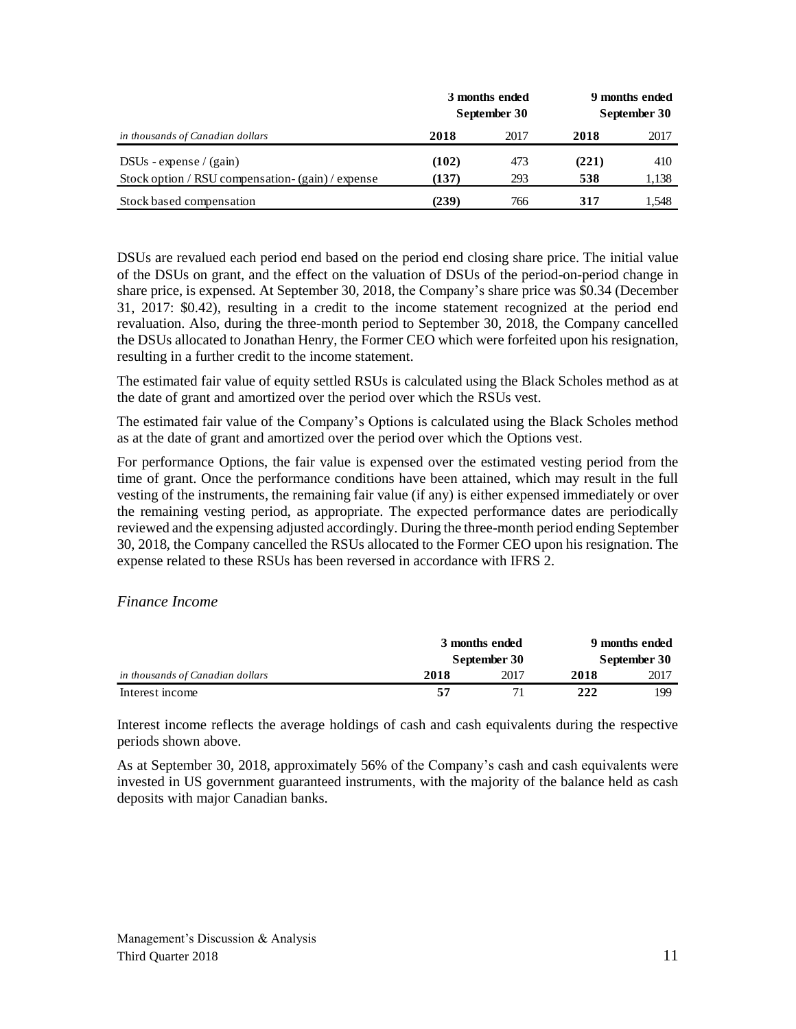|                                                   |       | 3 months ended<br>September 30 | 9 months ended<br>September 30 |       |
|---------------------------------------------------|-------|--------------------------------|--------------------------------|-------|
| in thousands of Canadian dollars                  | 2018  | 2017                           | 2018                           | 2017  |
| DSUs - expense $/(gain)$                          | (102) | 473                            | (221)                          | 410   |
| Stock option / RSU compensation- (gain) / expense | (137) | 293                            | 538                            | 1,138 |
| Stock based compensation                          | (239) | 766                            | 317                            | 1.548 |

DSUs are revalued each period end based on the period end closing share price. The initial value of the DSUs on grant, and the effect on the valuation of DSUs of the period-on-period change in share price, is expensed. At September 30, 2018, the Company's share price was \$0.34 (December 31, 2017: \$0.42), resulting in a credit to the income statement recognized at the period end revaluation. Also, during the three-month period to September 30, 2018, the Company cancelled the DSUs allocated to Jonathan Henry, the Former CEO which were forfeited upon his resignation, resulting in a further credit to the income statement.

The estimated fair value of equity settled RSUs is calculated using the Black Scholes method as at the date of grant and amortized over the period over which the RSUs vest.

The estimated fair value of the Company's Options is calculated using the Black Scholes method as at the date of grant and amortized over the period over which the Options vest.

For performance Options, the fair value is expensed over the estimated vesting period from the time of grant. Once the performance conditions have been attained, which may result in the full vesting of the instruments, the remaining fair value (if any) is either expensed immediately or over the remaining vesting period, as appropriate. The expected performance dates are periodically reviewed and the expensing adjusted accordingly. During the three-month period ending September 30, 2018, the Company cancelled the RSUs allocated to the Former CEO upon his resignation. The expense related to these RSUs has been reversed in accordance with IFRS 2.

## *Finance Income*

|                                  | 3 months ended<br>September 30 |      |      | 9 months ended<br>September 30 |
|----------------------------------|--------------------------------|------|------|--------------------------------|
| in thousands of Canadian dollars | 2018                           | 2017 | 2018 | 2017                           |
| Interest income                  | 57                             | 71   | 222  | 199                            |

Interest income reflects the average holdings of cash and cash equivalents during the respective periods shown above.

As at September 30, 2018, approximately 56% of the Company's cash and cash equivalents were invested in US government guaranteed instruments, with the majority of the balance held as cash deposits with major Canadian banks.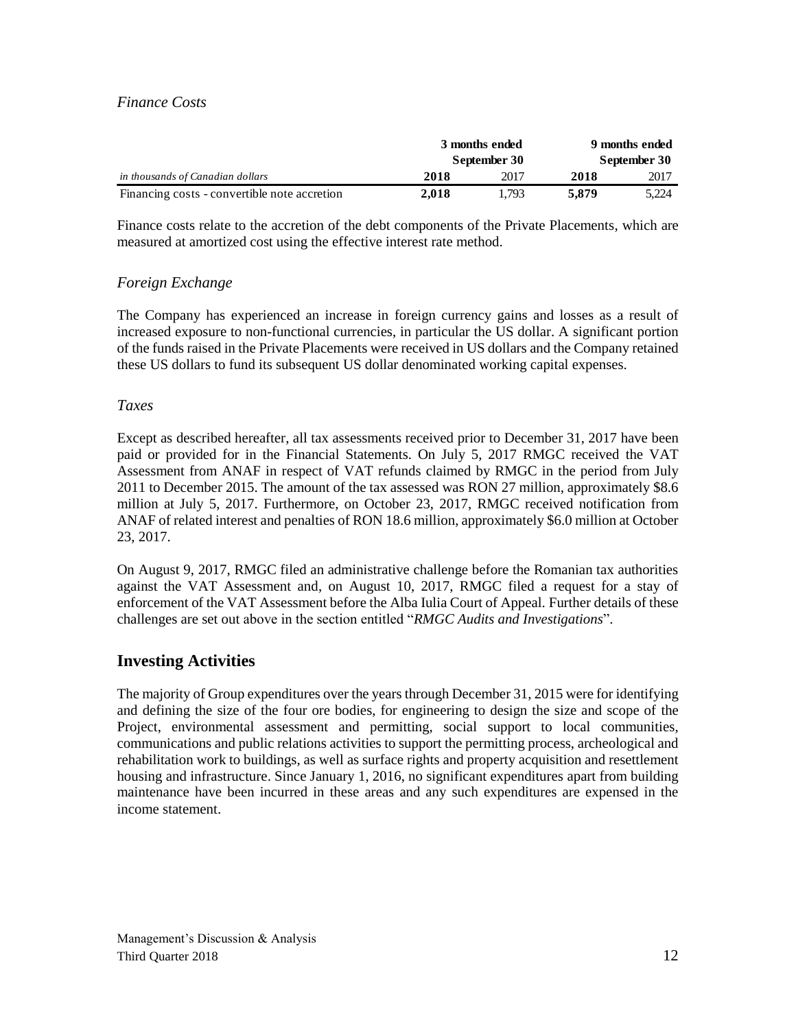### *Finance Costs*

|                                              | 3 months ended<br>September 30 |       | 9 months ended<br>September 30 |       |  |
|----------------------------------------------|--------------------------------|-------|--------------------------------|-------|--|
| in thousands of Canadian dollars             | 2018                           | 2017  | 2018                           | 2017  |  |
| Financing costs - convertible note accretion | 2.018                          | 1.793 | 5.879                          | 5.224 |  |

Finance costs relate to the accretion of the debt components of the Private Placements, which are measured at amortized cost using the effective interest rate method.

## *Foreign Exchange*

The Company has experienced an increase in foreign currency gains and losses as a result of increased exposure to non-functional currencies, in particular the US dollar. A significant portion of the funds raised in the Private Placements were received in US dollars and the Company retained these US dollars to fund its subsequent US dollar denominated working capital expenses.

#### *Taxes*

Except as described hereafter, all tax assessments received prior to December 31, 2017 have been paid or provided for in the Financial Statements. On July 5, 2017 RMGC received the VAT Assessment from ANAF in respect of VAT refunds claimed by RMGC in the period from July 2011 to December 2015. The amount of the tax assessed was RON 27 million, approximately \$8.6 million at July 5, 2017. Furthermore, on October 23, 2017, RMGC received notification from ANAF of related interest and penalties of RON 18.6 million, approximately \$6.0 million at October 23, 2017.

On August 9, 2017, RMGC filed an administrative challenge before the Romanian tax authorities against the VAT Assessment and, on August 10, 2017, RMGC filed a request for a stay of enforcement of the VAT Assessment before the Alba Iulia Court of Appeal. Further details of these challenges are set out above in the section entitled "*RMGC Audits and Investigations*".

## **Investing Activities**

The majority of Group expenditures over the years through December 31, 2015 were for identifying and defining the size of the four ore bodies, for engineering to design the size and scope of the Project, environmental assessment and permitting, social support to local communities, communications and public relations activities to support the permitting process, archeological and rehabilitation work to buildings, as well as surface rights and property acquisition and resettlement housing and infrastructure. Since January 1, 2016, no significant expenditures apart from building maintenance have been incurred in these areas and any such expenditures are expensed in the income statement.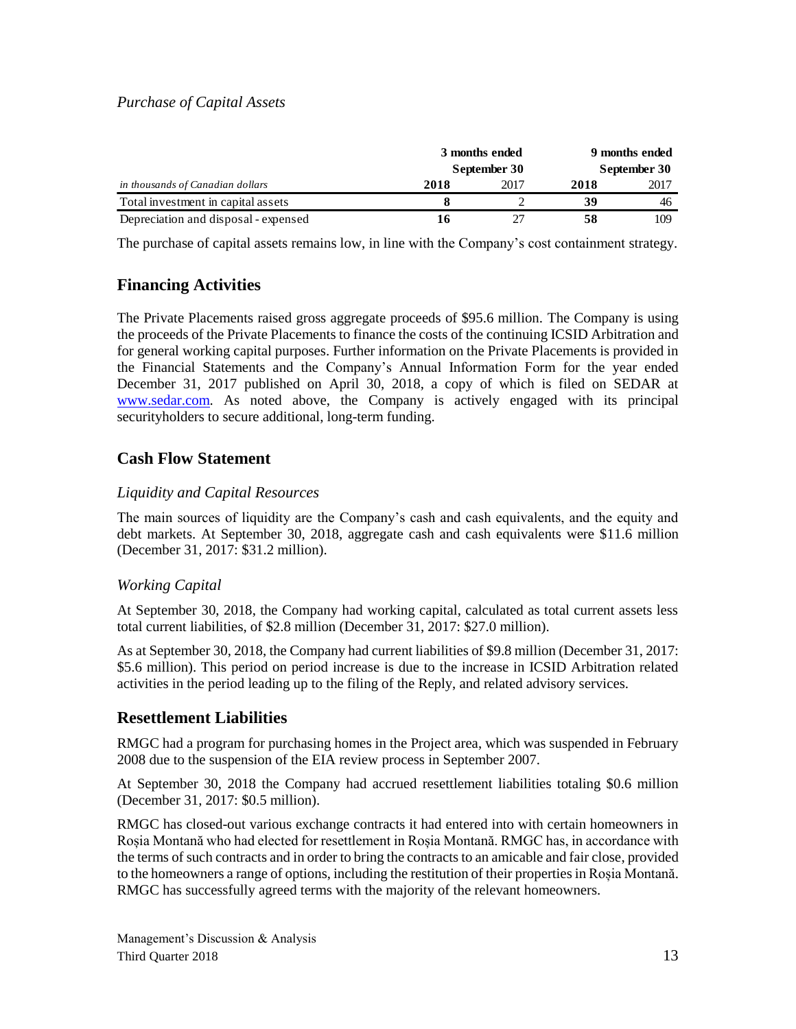## *Purchase of Capital Assets*

| 3 months ended<br>September 30       |      |      | 9 months ended<br>September 30 |      |  |
|--------------------------------------|------|------|--------------------------------|------|--|
| in thousands of Canadian dollars     | 2018 | 2017 | 2018                           | 2017 |  |
| Total investment in capital assets   |      |      | 39                             | 46   |  |
| Depreciation and disposal - expensed | 16   |      | 58                             | 109  |  |
|                                      |      |      |                                |      |  |

The purchase of capital assets remains low, in line with the Company's cost containment strategy.

## **Financing Activities**

The Private Placements raised gross aggregate proceeds of \$95.6 million. The Company is using the proceeds of the Private Placements to finance the costs of the continuing ICSID Arbitration and for general working capital purposes. Further information on the Private Placements is provided in the Financial Statements and the Company's Annual Information Form for the year ended December 31, 2017 published on April 30, 2018, a copy of which is filed on SEDAR at [www.sedar.com.](http://www.sedar.com/) As noted above, the Company is actively engaged with its principal securityholders to secure additional, long-term funding.

## **Cash Flow Statement**

## *Liquidity and Capital Resources*

The main sources of liquidity are the Company's cash and cash equivalents, and the equity and debt markets. At September 30, 2018, aggregate cash and cash equivalents were \$11.6 million (December 31, 2017: \$31.2 million).

## *Working Capital*

At September 30, 2018, the Company had working capital, calculated as total current assets less total current liabilities, of \$2.8 million (December 31, 2017: \$27.0 million).

As at September 30, 2018, the Company had current liabilities of \$9.8 million (December 31, 2017: \$5.6 million). This period on period increase is due to the increase in ICSID Arbitration related activities in the period leading up to the filing of the Reply, and related advisory services.

## **Resettlement Liabilities**

RMGC had a program for purchasing homes in the Project area, which was suspended in February 2008 due to the suspension of the EIA review process in September 2007.

At September 30, 2018 the Company had accrued resettlement liabilities totaling \$0.6 million (December 31, 2017: \$0.5 million).

RMGC has closed-out various exchange contracts it had entered into with certain homeowners in Roșia Montană who had elected for resettlement in Roșia Montană. RMGC has, in accordance with the terms of such contracts and in order to bring the contracts to an amicable and fair close, provided to the homeowners a range of options, including the restitution of their properties in Roșia Montană. RMGC has successfully agreed terms with the majority of the relevant homeowners.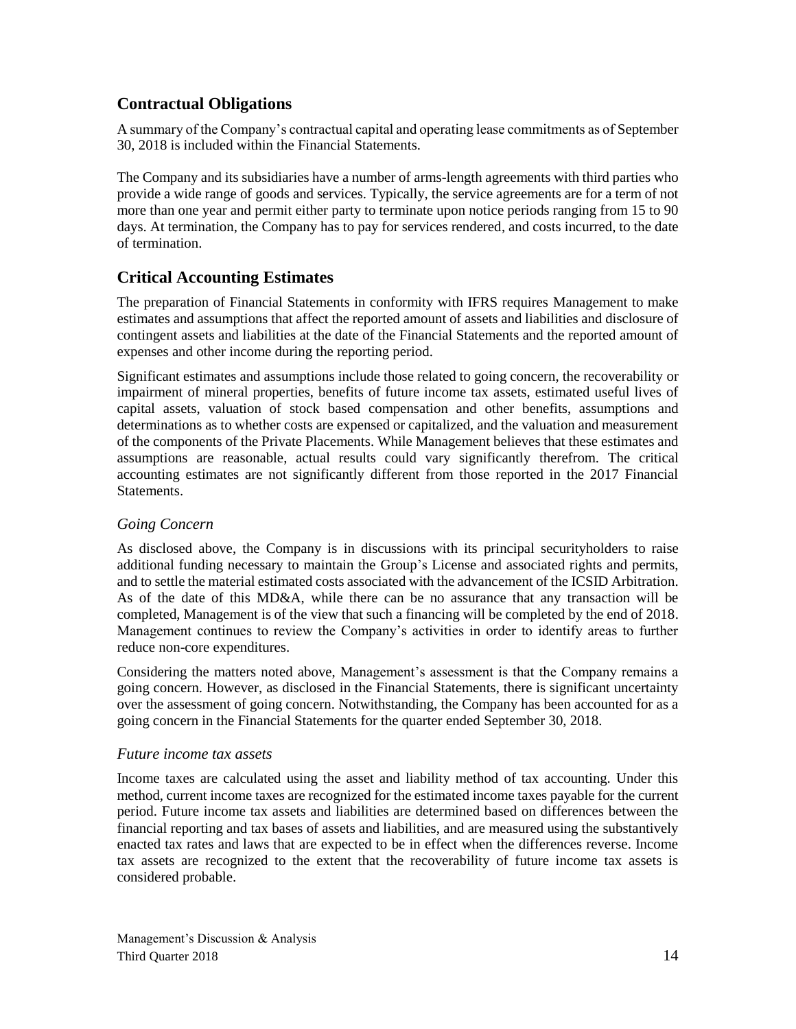# **Contractual Obligations**

A summary of the Company's contractual capital and operating lease commitments as of September 30, 2018 is included within the Financial Statements.

The Company and its subsidiaries have a number of arms-length agreements with third parties who provide a wide range of goods and services. Typically, the service agreements are for a term of not more than one year and permit either party to terminate upon notice periods ranging from 15 to 90 days. At termination, the Company has to pay for services rendered, and costs incurred, to the date of termination.

# **Critical Accounting Estimates**

The preparation of Financial Statements in conformity with IFRS requires Management to make estimates and assumptions that affect the reported amount of assets and liabilities and disclosure of contingent assets and liabilities at the date of the Financial Statements and the reported amount of expenses and other income during the reporting period.

Significant estimates and assumptions include those related to going concern, the recoverability or impairment of mineral properties, benefits of future income tax assets, estimated useful lives of capital assets, valuation of stock based compensation and other benefits, assumptions and determinations as to whether costs are expensed or capitalized, and the valuation and measurement of the components of the Private Placements. While Management believes that these estimates and assumptions are reasonable, actual results could vary significantly therefrom. The critical accounting estimates are not significantly different from those reported in the 2017 Financial Statements.

## *Going Concern*

As disclosed above, the Company is in discussions with its principal securityholders to raise additional funding necessary to maintain the Group's License and associated rights and permits, and to settle the material estimated costs associated with the advancement of the ICSID Arbitration. As of the date of this MD&A, while there can be no assurance that any transaction will be completed, Management is of the view that such a financing will be completed by the end of 2018. Management continues to review the Company's activities in order to identify areas to further reduce non-core expenditures.

Considering the matters noted above, Management's assessment is that the Company remains a going concern. However, as disclosed in the Financial Statements, there is significant uncertainty over the assessment of going concern. Notwithstanding, the Company has been accounted for as a going concern in the Financial Statements for the quarter ended September 30, 2018.

## *Future income tax assets*

Income taxes are calculated using the asset and liability method of tax accounting. Under this method, current income taxes are recognized for the estimated income taxes payable for the current period. Future income tax assets and liabilities are determined based on differences between the financial reporting and tax bases of assets and liabilities, and are measured using the substantively enacted tax rates and laws that are expected to be in effect when the differences reverse. Income tax assets are recognized to the extent that the recoverability of future income tax assets is considered probable.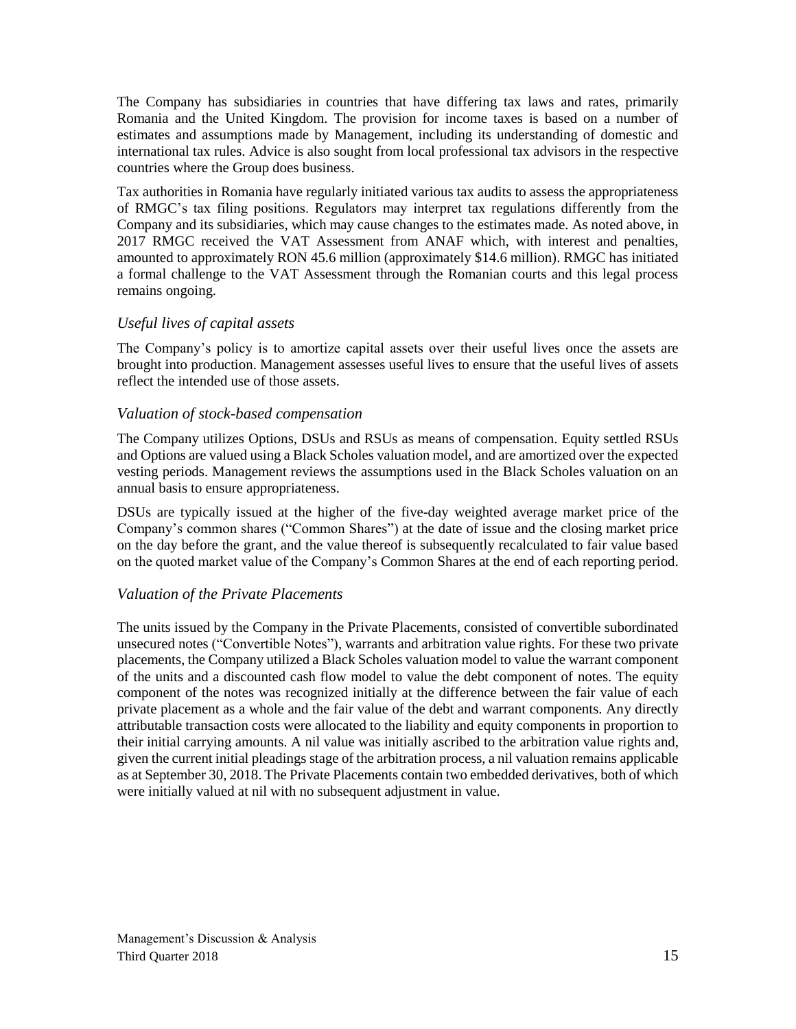The Company has subsidiaries in countries that have differing tax laws and rates, primarily Romania and the United Kingdom. The provision for income taxes is based on a number of estimates and assumptions made by Management, including its understanding of domestic and international tax rules. Advice is also sought from local professional tax advisors in the respective countries where the Group does business.

Tax authorities in Romania have regularly initiated various tax audits to assess the appropriateness of RMGC's tax filing positions. Regulators may interpret tax regulations differently from the Company and its subsidiaries, which may cause changes to the estimates made. As noted above, in 2017 RMGC received the VAT Assessment from ANAF which, with interest and penalties, amounted to approximately RON 45.6 million (approximately \$14.6 million). RMGC has initiated a formal challenge to the VAT Assessment through the Romanian courts and this legal process remains ongoing.

## *Useful lives of capital assets*

The Company's policy is to amortize capital assets over their useful lives once the assets are brought into production. Management assesses useful lives to ensure that the useful lives of assets reflect the intended use of those assets.

## *Valuation of stock-based compensation*

The Company utilizes Options, DSUs and RSUs as means of compensation. Equity settled RSUs and Options are valued using a Black Scholes valuation model, and are amortized over the expected vesting periods. Management reviews the assumptions used in the Black Scholes valuation on an annual basis to ensure appropriateness.

DSUs are typically issued at the higher of the five-day weighted average market price of the Company's common shares ("Common Shares") at the date of issue and the closing market price on the day before the grant, and the value thereof is subsequently recalculated to fair value based on the quoted market value of the Company's Common Shares at the end of each reporting period.

## *Valuation of the Private Placements*

The units issued by the Company in the Private Placements, consisted of convertible subordinated unsecured notes ("Convertible Notes"), warrants and arbitration value rights. For these two private placements, the Company utilized a Black Scholes valuation model to value the warrant component of the units and a discounted cash flow model to value the debt component of notes. The equity component of the notes was recognized initially at the difference between the fair value of each private placement as a whole and the fair value of the debt and warrant components. Any directly attributable transaction costs were allocated to the liability and equity components in proportion to their initial carrying amounts. A nil value was initially ascribed to the arbitration value rights and, given the current initial pleadings stage of the arbitration process, a nil valuation remains applicable as at September 30, 2018. The Private Placements contain two embedded derivatives, both of which were initially valued at nil with no subsequent adjustment in value.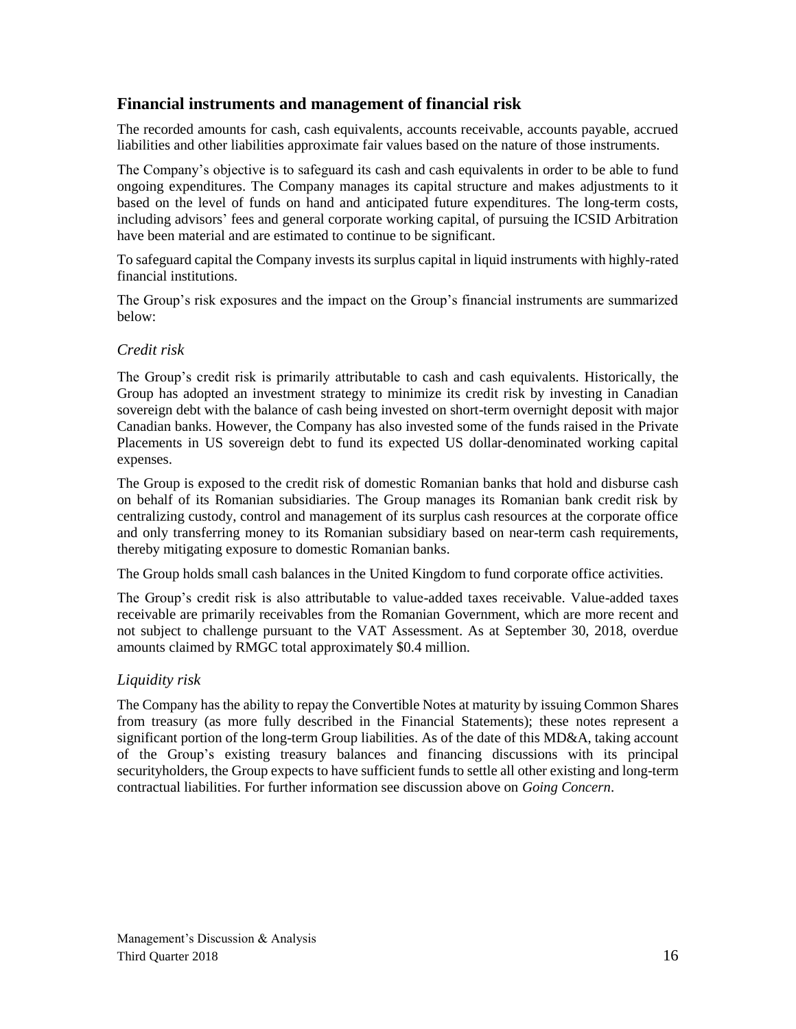## **Financial instruments and management of financial risk**

The recorded amounts for cash, cash equivalents, accounts receivable, accounts payable, accrued liabilities and other liabilities approximate fair values based on the nature of those instruments.

The Company's objective is to safeguard its cash and cash equivalents in order to be able to fund ongoing expenditures. The Company manages its capital structure and makes adjustments to it based on the level of funds on hand and anticipated future expenditures. The long-term costs, including advisors' fees and general corporate working capital, of pursuing the ICSID Arbitration have been material and are estimated to continue to be significant.

To safeguard capital the Company invests its surplus capital in liquid instruments with highly-rated financial institutions.

The Group's risk exposures and the impact on the Group's financial instruments are summarized below:

## *Credit risk*

The Group's credit risk is primarily attributable to cash and cash equivalents. Historically, the Group has adopted an investment strategy to minimize its credit risk by investing in Canadian sovereign debt with the balance of cash being invested on short-term overnight deposit with major Canadian banks. However, the Company has also invested some of the funds raised in the Private Placements in US sovereign debt to fund its expected US dollar-denominated working capital expenses.

The Group is exposed to the credit risk of domestic Romanian banks that hold and disburse cash on behalf of its Romanian subsidiaries. The Group manages its Romanian bank credit risk by centralizing custody, control and management of its surplus cash resources at the corporate office and only transferring money to its Romanian subsidiary based on near-term cash requirements, thereby mitigating exposure to domestic Romanian banks.

The Group holds small cash balances in the United Kingdom to fund corporate office activities.

The Group's credit risk is also attributable to value-added taxes receivable. Value-added taxes receivable are primarily receivables from the Romanian Government, which are more recent and not subject to challenge pursuant to the VAT Assessment. As at September 30, 2018, overdue amounts claimed by RMGC total approximately \$0.4 million.

## *Liquidity risk*

The Company has the ability to repay the Convertible Notes at maturity by issuing Common Shares from treasury (as more fully described in the Financial Statements); these notes represent a significant portion of the long-term Group liabilities. As of the date of this MD&A, taking account of the Group's existing treasury balances and financing discussions with its principal securityholders, the Group expects to have sufficient funds to settle all other existing and long-term contractual liabilities. For further information see discussion above on *Going Concern*.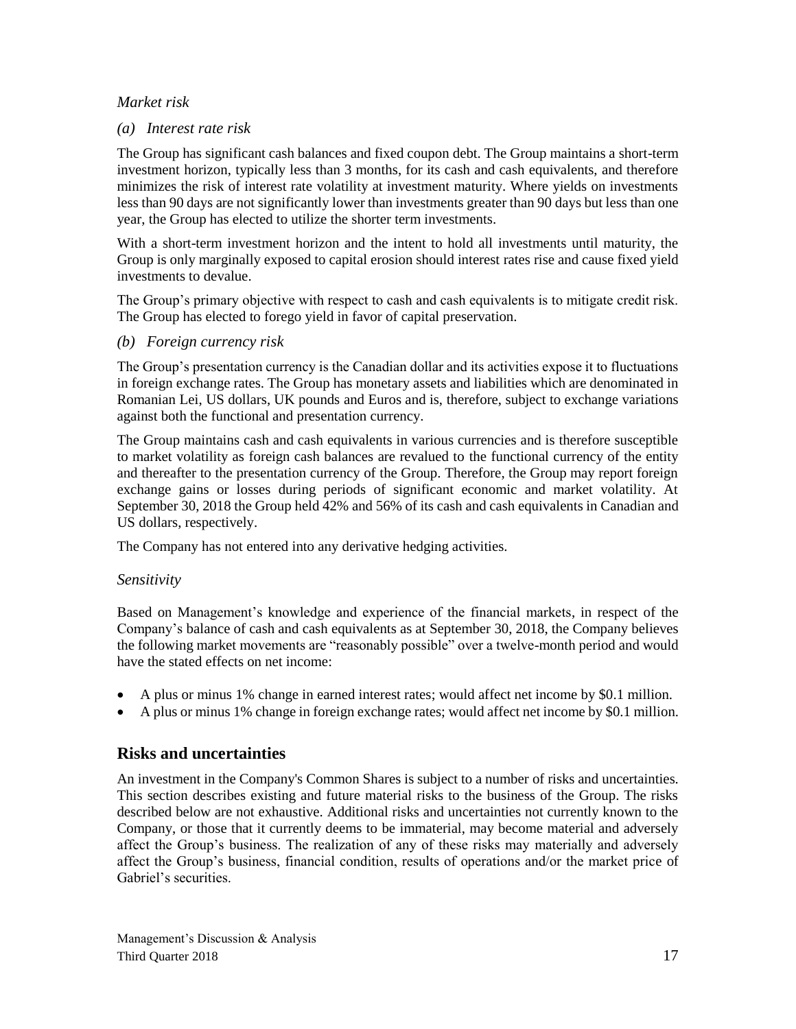## *Market risk*

## *(a) Interest rate risk*

The Group has significant cash balances and fixed coupon debt. The Group maintains a short-term investment horizon, typically less than 3 months, for its cash and cash equivalents, and therefore minimizes the risk of interest rate volatility at investment maturity. Where yields on investments less than 90 days are not significantly lower than investments greater than 90 days but less than one year, the Group has elected to utilize the shorter term investments.

With a short-term investment horizon and the intent to hold all investments until maturity, the Group is only marginally exposed to capital erosion should interest rates rise and cause fixed yield investments to devalue.

The Group's primary objective with respect to cash and cash equivalents is to mitigate credit risk. The Group has elected to forego yield in favor of capital preservation.

#### *(b) Foreign currency risk*

The Group's presentation currency is the Canadian dollar and its activities expose it to fluctuations in foreign exchange rates. The Group has monetary assets and liabilities which are denominated in Romanian Lei, US dollars, UK pounds and Euros and is, therefore, subject to exchange variations against both the functional and presentation currency.

The Group maintains cash and cash equivalents in various currencies and is therefore susceptible to market volatility as foreign cash balances are revalued to the functional currency of the entity and thereafter to the presentation currency of the Group. Therefore, the Group may report foreign exchange gains or losses during periods of significant economic and market volatility. At September 30, 2018 the Group held 42% and 56% of its cash and cash equivalents in Canadian and US dollars, respectively.

The Company has not entered into any derivative hedging activities.

## *Sensitivity*

Based on Management's knowledge and experience of the financial markets, in respect of the Company's balance of cash and cash equivalents as at September 30, 2018, the Company believes the following market movements are "reasonably possible" over a twelve-month period and would have the stated effects on net income:

- A plus or minus 1% change in earned interest rates; would affect net income by \$0.1 million.
- A plus or minus 1% change in foreign exchange rates; would affect net income by \$0.1 million.

## **Risks and uncertainties**

An investment in the Company's Common Shares is subject to a number of risks and uncertainties. This section describes existing and future material risks to the business of the Group. The risks described below are not exhaustive. Additional risks and uncertainties not currently known to the Company, or those that it currently deems to be immaterial, may become material and adversely affect the Group's business. The realization of any of these risks may materially and adversely affect the Group's business, financial condition, results of operations and/or the market price of Gabriel's securities.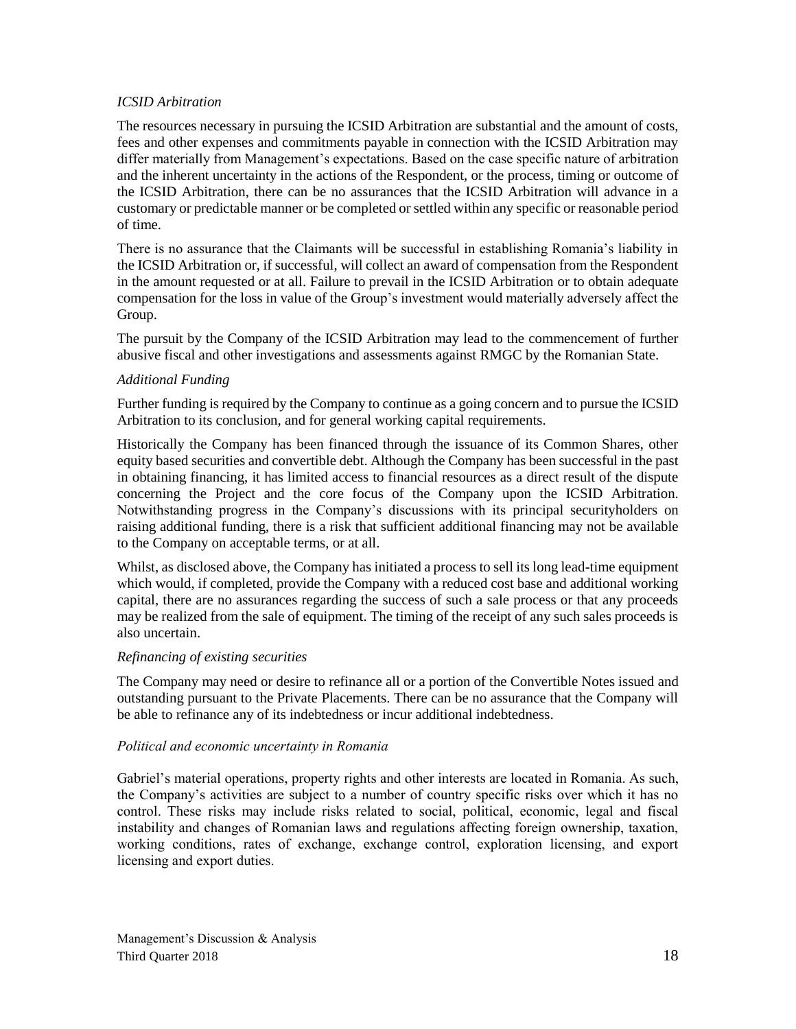#### *ICSID Arbitration*

The resources necessary in pursuing the ICSID Arbitration are substantial and the amount of costs, fees and other expenses and commitments payable in connection with the ICSID Arbitration may differ materially from Management's expectations. Based on the case specific nature of arbitration and the inherent uncertainty in the actions of the Respondent, or the process, timing or outcome of the ICSID Arbitration, there can be no assurances that the ICSID Arbitration will advance in a customary or predictable manner or be completed or settled within any specific or reasonable period of time.

There is no assurance that the Claimants will be successful in establishing Romania's liability in the ICSID Arbitration or, if successful, will collect an award of compensation from the Respondent in the amount requested or at all. Failure to prevail in the ICSID Arbitration or to obtain adequate compensation for the loss in value of the Group's investment would materially adversely affect the Group.

The pursuit by the Company of the ICSID Arbitration may lead to the commencement of further abusive fiscal and other investigations and assessments against RMGC by the Romanian State.

#### *Additional Funding*

Further funding is required by the Company to continue as a going concern and to pursue the ICSID Arbitration to its conclusion, and for general working capital requirements.

Historically the Company has been financed through the issuance of its Common Shares, other equity based securities and convertible debt. Although the Company has been successful in the past in obtaining financing, it has limited access to financial resources as a direct result of the dispute concerning the Project and the core focus of the Company upon the ICSID Arbitration. Notwithstanding progress in the Company's discussions with its principal securityholders on raising additional funding, there is a risk that sufficient additional financing may not be available to the Company on acceptable terms, or at all.

Whilst, as disclosed above, the Company has initiated a process to sell its long lead-time equipment which would, if completed, provide the Company with a reduced cost base and additional working capital, there are no assurances regarding the success of such a sale process or that any proceeds may be realized from the sale of equipment. The timing of the receipt of any such sales proceeds is also uncertain.

#### *Refinancing of existing securities*

The Company may need or desire to refinance all or a portion of the Convertible Notes issued and outstanding pursuant to the Private Placements. There can be no assurance that the Company will be able to refinance any of its indebtedness or incur additional indebtedness.

#### *Political and economic uncertainty in Romania*

Gabriel's material operations, property rights and other interests are located in Romania. As such, the Company's activities are subject to a number of country specific risks over which it has no control. These risks may include risks related to social, political, economic, legal and fiscal instability and changes of Romanian laws and regulations affecting foreign ownership, taxation, working conditions, rates of exchange, exchange control, exploration licensing, and export licensing and export duties.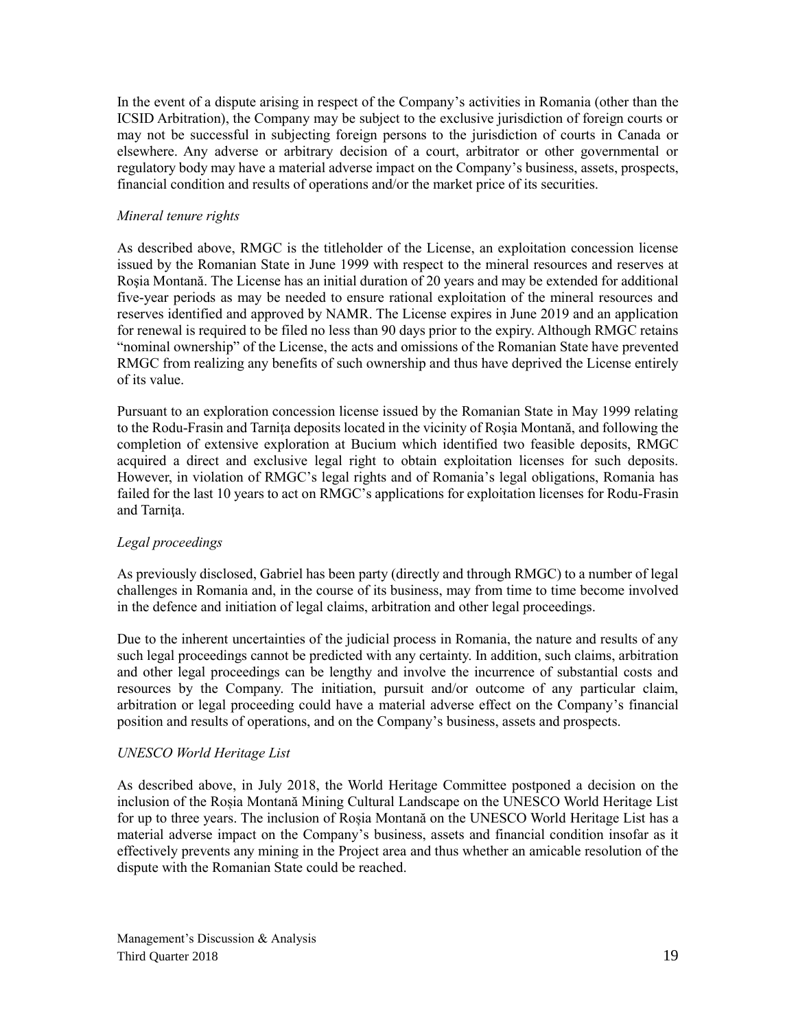In the event of a dispute arising in respect of the Company's activities in Romania (other than the ICSID Arbitration), the Company may be subject to the exclusive jurisdiction of foreign courts or may not be successful in subjecting foreign persons to the jurisdiction of courts in Canada or elsewhere. Any adverse or arbitrary decision of a court, arbitrator or other governmental or regulatory body may have a material adverse impact on the Company's business, assets, prospects, financial condition and results of operations and/or the market price of its securities.

### *Mineral tenure rights*

As described above, RMGC is the titleholder of the License, an exploitation concession license issued by the Romanian State in June 1999 with respect to the mineral resources and reserves at Roşia Montană. The License has an initial duration of 20 years and may be extended for additional five-year periods as may be needed to ensure rational exploitation of the mineral resources and reserves identified and approved by NAMR. The License expires in June 2019 and an application for renewal is required to be filed no less than 90 days prior to the expiry. Although RMGC retains "nominal ownership" of the License, the acts and omissions of the Romanian State have prevented RMGC from realizing any benefits of such ownership and thus have deprived the License entirely of its value.

Pursuant to an exploration concession license issued by the Romanian State in May 1999 relating to the Rodu-Frasin and Tarniţa deposits located in the vicinity of Roşia Montană, and following the completion of extensive exploration at Bucium which identified two feasible deposits, RMGC acquired a direct and exclusive legal right to obtain exploitation licenses for such deposits. However, in violation of RMGC's legal rights and of Romania's legal obligations, Romania has failed for the last 10 years to act on RMGC's applications for exploitation licenses for Rodu-Frasin and Tarnita.

#### *Legal proceedings*

As previously disclosed, Gabriel has been party (directly and through RMGC) to a number of legal challenges in Romania and, in the course of its business, may from time to time become involved in the defence and initiation of legal claims, arbitration and other legal proceedings.

Due to the inherent uncertainties of the judicial process in Romania, the nature and results of any such legal proceedings cannot be predicted with any certainty. In addition, such claims, arbitration and other legal proceedings can be lengthy and involve the incurrence of substantial costs and resources by the Company. The initiation, pursuit and/or outcome of any particular claim, arbitration or legal proceeding could have a material adverse effect on the Company's financial position and results of operations, and on the Company's business, assets and prospects.

## *UNESCO World Heritage List*

As described above, in July 2018, the World Heritage Committee postponed a decision on the inclusion of the Roșia Montană Mining Cultural Landscape on the UNESCO World Heritage List for up to three years. The inclusion of Roșia Montană on the UNESCO World Heritage List has a material adverse impact on the Company's business, assets and financial condition insofar as it effectively prevents any mining in the Project area and thus whether an amicable resolution of the dispute with the Romanian State could be reached.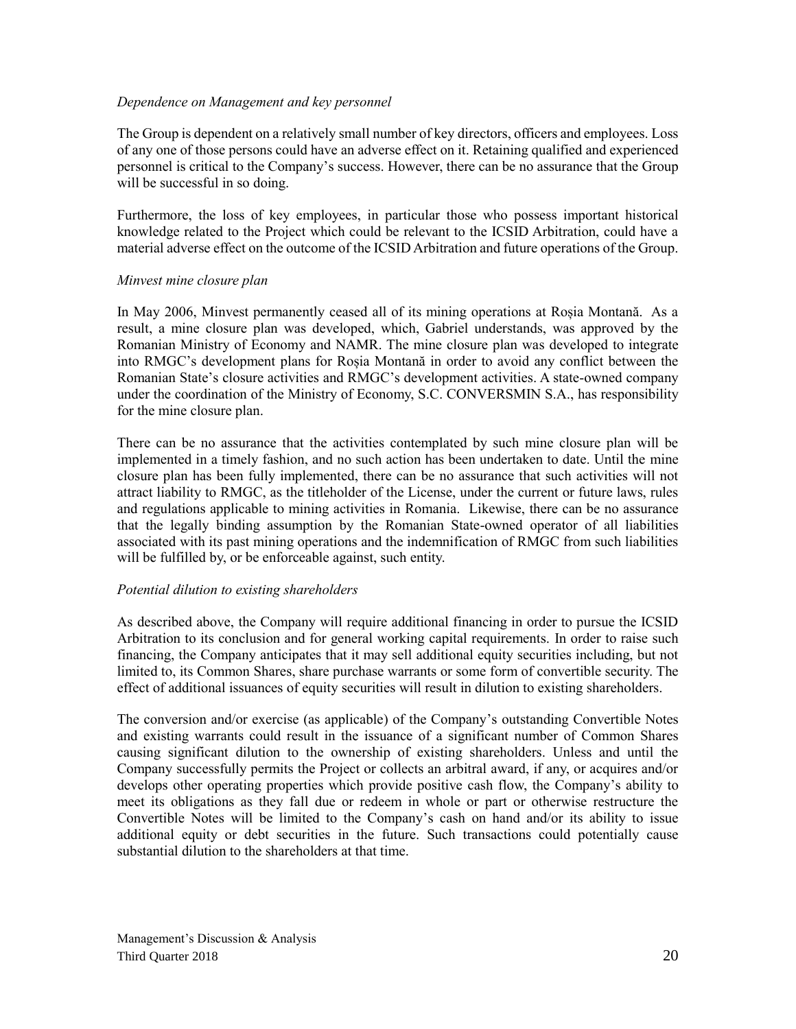#### *Dependence on Management and key personnel*

The Group is dependent on a relatively small number of key directors, officers and employees. Loss of any one of those persons could have an adverse effect on it. Retaining qualified and experienced personnel is critical to the Company's success. However, there can be no assurance that the Group will be successful in so doing.

Furthermore, the loss of key employees, in particular those who possess important historical knowledge related to the Project which could be relevant to the ICSID Arbitration, could have a material adverse effect on the outcome of the ICSID Arbitration and future operations of the Group.

#### *Minvest mine closure plan*

In May 2006, Minvest permanently ceased all of its mining operations at Roșia Montană. As a result, a mine closure plan was developed, which, Gabriel understands, was approved by the Romanian Ministry of Economy and NAMR. The mine closure plan was developed to integrate into RMGC's development plans for Roșia Montană in order to avoid any conflict between the Romanian State's closure activities and RMGC's development activities. A state-owned company under the coordination of the Ministry of Economy, S.C. CONVERSMIN S.A., has responsibility for the mine closure plan.

There can be no assurance that the activities contemplated by such mine closure plan will be implemented in a timely fashion, and no such action has been undertaken to date. Until the mine closure plan has been fully implemented, there can be no assurance that such activities will not attract liability to RMGC, as the titleholder of the License, under the current or future laws, rules and regulations applicable to mining activities in Romania. Likewise, there can be no assurance that the legally binding assumption by the Romanian State-owned operator of all liabilities associated with its past mining operations and the indemnification of RMGC from such liabilities will be fulfilled by, or be enforceable against, such entity.

#### *Potential dilution to existing shareholders*

As described above, the Company will require additional financing in order to pursue the ICSID Arbitration to its conclusion and for general working capital requirements. In order to raise such financing, the Company anticipates that it may sell additional equity securities including, but not limited to, its Common Shares, share purchase warrants or some form of convertible security. The effect of additional issuances of equity securities will result in dilution to existing shareholders.

The conversion and/or exercise (as applicable) of the Company's outstanding Convertible Notes and existing warrants could result in the issuance of a significant number of Common Shares causing significant dilution to the ownership of existing shareholders. Unless and until the Company successfully permits the Project or collects an arbitral award, if any, or acquires and/or develops other operating properties which provide positive cash flow, the Company's ability to meet its obligations as they fall due or redeem in whole or part or otherwise restructure the Convertible Notes will be limited to the Company's cash on hand and/or its ability to issue additional equity or debt securities in the future. Such transactions could potentially cause substantial dilution to the shareholders at that time.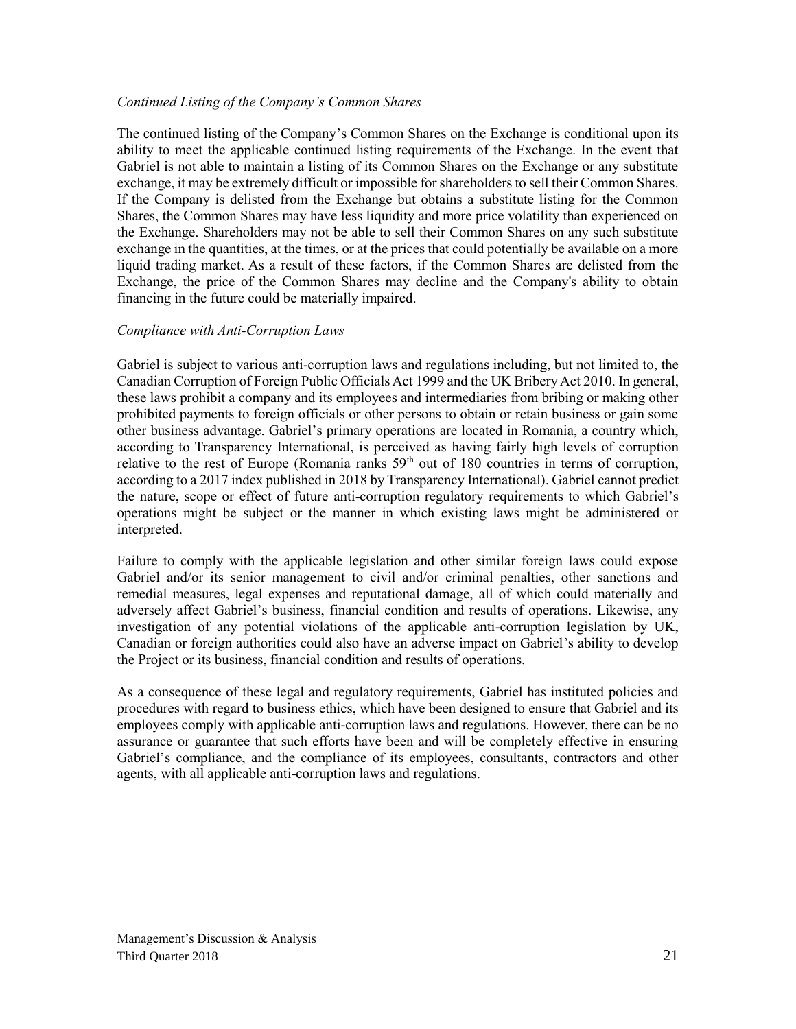#### *Continued Listing of the Company's Common Shares*

The continued listing of the Company's Common Shares on the Exchange is conditional upon its ability to meet the applicable continued listing requirements of the Exchange. In the event that Gabriel is not able to maintain a listing of its Common Shares on the Exchange or any substitute exchange, it may be extremely difficult or impossible for shareholders to sell their Common Shares. If the Company is delisted from the Exchange but obtains a substitute listing for the Common Shares, the Common Shares may have less liquidity and more price volatility than experienced on the Exchange. Shareholders may not be able to sell their Common Shares on any such substitute exchange in the quantities, at the times, or at the prices that could potentially be available on a more liquid trading market. As a result of these factors, if the Common Shares are delisted from the Exchange, the price of the Common Shares may decline and the Company's ability to obtain financing in the future could be materially impaired.

#### *Compliance with Anti-Corruption Laws*

Gabriel is subject to various anti-corruption laws and regulations including, but not limited to, the Canadian Corruption of Foreign Public Officials Act 1999 and the UK Bribery Act 2010. In general, these laws prohibit a company and its employees and intermediaries from bribing or making other prohibited payments to foreign officials or other persons to obtain or retain business or gain some other business advantage. Gabriel's primary operations are located in Romania, a country which, according to Transparency International, is perceived as having fairly high levels of corruption relative to the rest of Europe (Romania ranks  $59<sup>th</sup>$  out of 180 countries in terms of corruption, according to a 2017 index published in 2018 by Transparency International). Gabriel cannot predict the nature, scope or effect of future anti-corruption regulatory requirements to which Gabriel's operations might be subject or the manner in which existing laws might be administered or interpreted.

Failure to comply with the applicable legislation and other similar foreign laws could expose Gabriel and/or its senior management to civil and/or criminal penalties, other sanctions and remedial measures, legal expenses and reputational damage, all of which could materially and adversely affect Gabriel's business, financial condition and results of operations. Likewise, any investigation of any potential violations of the applicable anti-corruption legislation by UK, Canadian or foreign authorities could also have an adverse impact on Gabriel's ability to develop the Project or its business, financial condition and results of operations.

As a consequence of these legal and regulatory requirements, Gabriel has instituted policies and procedures with regard to business ethics, which have been designed to ensure that Gabriel and its employees comply with applicable anti-corruption laws and regulations. However, there can be no assurance or guarantee that such efforts have been and will be completely effective in ensuring Gabriel's compliance, and the compliance of its employees, consultants, contractors and other agents, with all applicable anti-corruption laws and regulations.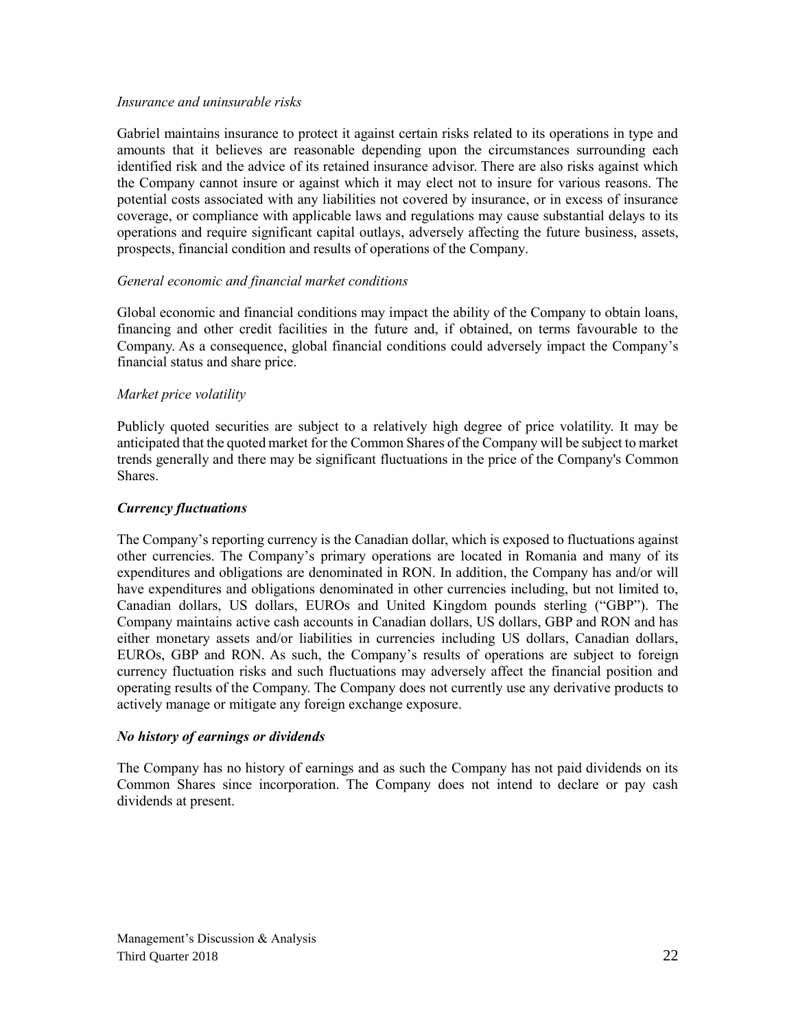#### *Insurance and uninsurable risks*

Gabriel maintains insurance to protect it against certain risks related to its operations in type and amounts that it believes are reasonable depending upon the circumstances surrounding each identified risk and the advice of its retained insurance advisor. There are also risks against which the Company cannot insure or against which it may elect not to insure for various reasons. The potential costs associated with any liabilities not covered by insurance, or in excess of insurance coverage, or compliance with applicable laws and regulations may cause substantial delays to its operations and require significant capital outlays, adversely affecting the future business, assets, prospects, financial condition and results of operations of the Company.

#### *General economic and financial market conditions*

Global economic and financial conditions may impact the ability of the Company to obtain loans, financing and other credit facilities in the future and, if obtained, on terms favourable to the Company. As a consequence, global financial conditions could adversely impact the Company's financial status and share price.

#### *Market price volatility*

Publicly quoted securities are subject to a relatively high degree of price volatility. It may be anticipated that the quoted market for the Common Shares of the Company will be subject to market trends generally and there may be significant fluctuations in the price of the Company's Common Shares.

#### *Currency fluctuations*

The Company's reporting currency is the Canadian dollar, which is exposed to fluctuations against other currencies. The Company's primary operations are located in Romania and many of its expenditures and obligations are denominated in RON. In addition, the Company has and/or will have expenditures and obligations denominated in other currencies including, but not limited to, Canadian dollars, US dollars, EUROs and United Kingdom pounds sterling ("GBP"). The Company maintains active cash accounts in Canadian dollars, US dollars, GBP and RON and has either monetary assets and/or liabilities in currencies including US dollars, Canadian dollars, EUROs, GBP and RON. As such, the Company's results of operations are subject to foreign currency fluctuation risks and such fluctuations may adversely affect the financial position and operating results of the Company. The Company does not currently use any derivative products to actively manage or mitigate any foreign exchange exposure.

#### *No history of earnings or dividends*

The Company has no history of earnings and as such the Company has not paid dividends on its Common Shares since incorporation. The Company does not intend to declare or pay cash dividends at present.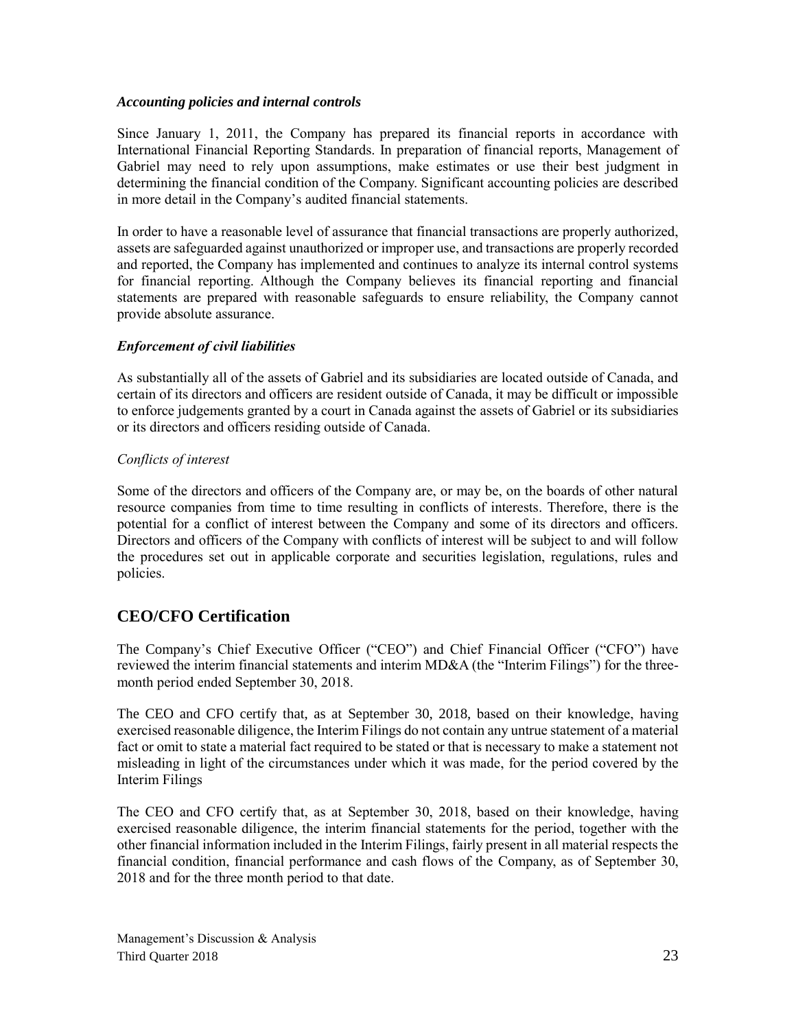#### *Accounting policies and internal controls*

Since January 1, 2011, the Company has prepared its financial reports in accordance with International Financial Reporting Standards. In preparation of financial reports, Management of Gabriel may need to rely upon assumptions, make estimates or use their best judgment in determining the financial condition of the Company. Significant accounting policies are described in more detail in the Company's audited financial statements.

In order to have a reasonable level of assurance that financial transactions are properly authorized, assets are safeguarded against unauthorized or improper use, and transactions are properly recorded and reported, the Company has implemented and continues to analyze its internal control systems for financial reporting. Although the Company believes its financial reporting and financial statements are prepared with reasonable safeguards to ensure reliability, the Company cannot provide absolute assurance.

## *Enforcement of civil liabilities*

As substantially all of the assets of Gabriel and its subsidiaries are located outside of Canada, and certain of its directors and officers are resident outside of Canada, it may be difficult or impossible to enforce judgements granted by a court in Canada against the assets of Gabriel or its subsidiaries or its directors and officers residing outside of Canada.

## *Conflicts of interest*

Some of the directors and officers of the Company are, or may be, on the boards of other natural resource companies from time to time resulting in conflicts of interests. Therefore, there is the potential for a conflict of interest between the Company and some of its directors and officers. Directors and officers of the Company with conflicts of interest will be subject to and will follow the procedures set out in applicable corporate and securities legislation, regulations, rules and policies.

# **CEO/CFO Certification**

The Company's Chief Executive Officer ("CEO") and Chief Financial Officer ("CFO") have reviewed the interim financial statements and interim MD&A (the "Interim Filings") for the threemonth period ended September 30, 2018.

The CEO and CFO certify that, as at September 30, 2018, based on their knowledge, having exercised reasonable diligence, the Interim Filings do not contain any untrue statement of a material fact or omit to state a material fact required to be stated or that is necessary to make a statement not misleading in light of the circumstances under which it was made, for the period covered by the Interim Filings

The CEO and CFO certify that, as at September 30, 2018, based on their knowledge, having exercised reasonable diligence, the interim financial statements for the period, together with the other financial information included in the Interim Filings, fairly present in all material respects the financial condition, financial performance and cash flows of the Company, as of September 30, 2018 and for the three month period to that date.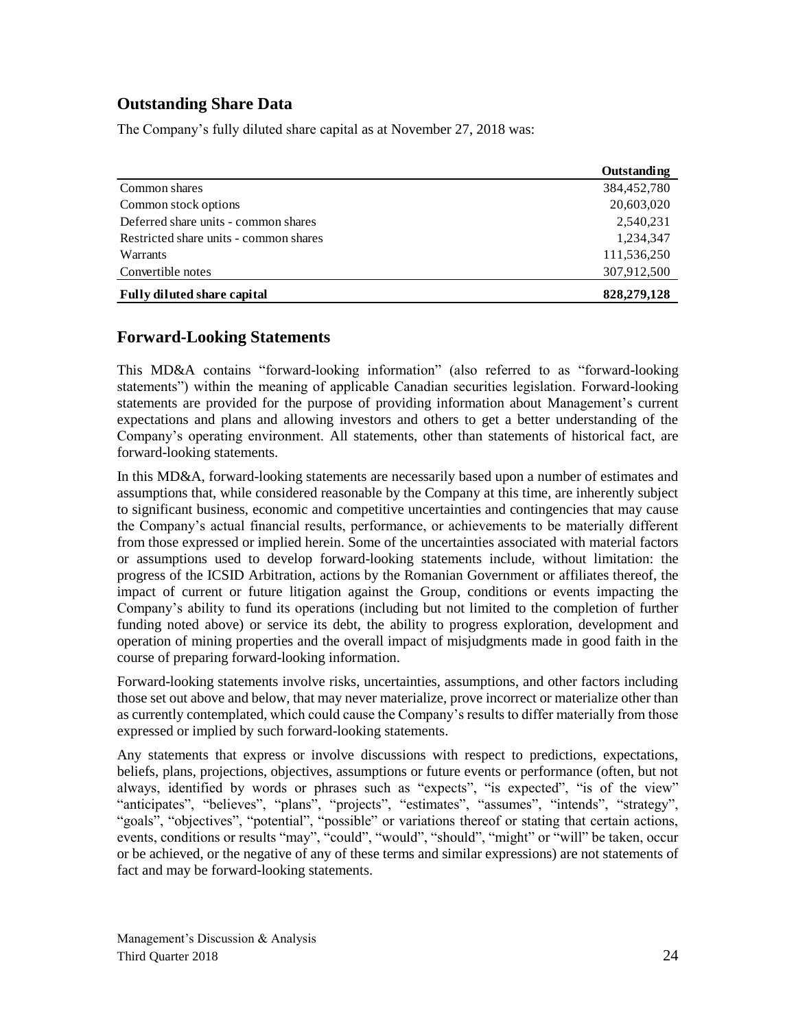# **Outstanding Share Data**

The Company's fully diluted share capital as at November 27, 2018 was:

|                                        | Outstanding |
|----------------------------------------|-------------|
| Common shares                          | 384,452,780 |
| Common stock options                   | 20,603,020  |
| Deferred share units - common shares   | 2,540,231   |
| Restricted share units - common shares | 1,234,347   |
| Warrants                               | 111,536,250 |
| Convertible notes                      | 307,912,500 |
| <b>Fully diluted share capital</b>     | 828,279,128 |

## **Forward-Looking Statements**

This MD&A contains "forward-looking information" (also referred to as "forward-looking statements") within the meaning of applicable Canadian securities legislation. Forward-looking statements are provided for the purpose of providing information about Management's current expectations and plans and allowing investors and others to get a better understanding of the Company's operating environment. All statements, other than statements of historical fact, are forward-looking statements.

In this MD&A, forward-looking statements are necessarily based upon a number of estimates and assumptions that, while considered reasonable by the Company at this time, are inherently subject to significant business, economic and competitive uncertainties and contingencies that may cause the Company's actual financial results, performance, or achievements to be materially different from those expressed or implied herein. Some of the uncertainties associated with material factors or assumptions used to develop forward-looking statements include, without limitation: the progress of the ICSID Arbitration, actions by the Romanian Government or affiliates thereof, the impact of current or future litigation against the Group, conditions or events impacting the Company's ability to fund its operations (including but not limited to the completion of further funding noted above) or service its debt, the ability to progress exploration, development and operation of mining properties and the overall impact of misjudgments made in good faith in the course of preparing forward-looking information.

Forward-looking statements involve risks, uncertainties, assumptions, and other factors including those set out above and below, that may never materialize, prove incorrect or materialize other than as currently contemplated, which could cause the Company's results to differ materially from those expressed or implied by such forward-looking statements.

Any statements that express or involve discussions with respect to predictions, expectations, beliefs, plans, projections, objectives, assumptions or future events or performance (often, but not always, identified by words or phrases such as "expects", "is expected", "is of the view" "anticipates", "believes", "plans", "projects", "estimates", "assumes", "intends", "strategy", "goals", "objectives", "potential", "possible" or variations thereof or stating that certain actions, events, conditions or results "may", "could", "would", "should", "might" or "will" be taken, occur or be achieved, or the negative of any of these terms and similar expressions) are not statements of fact and may be forward-looking statements.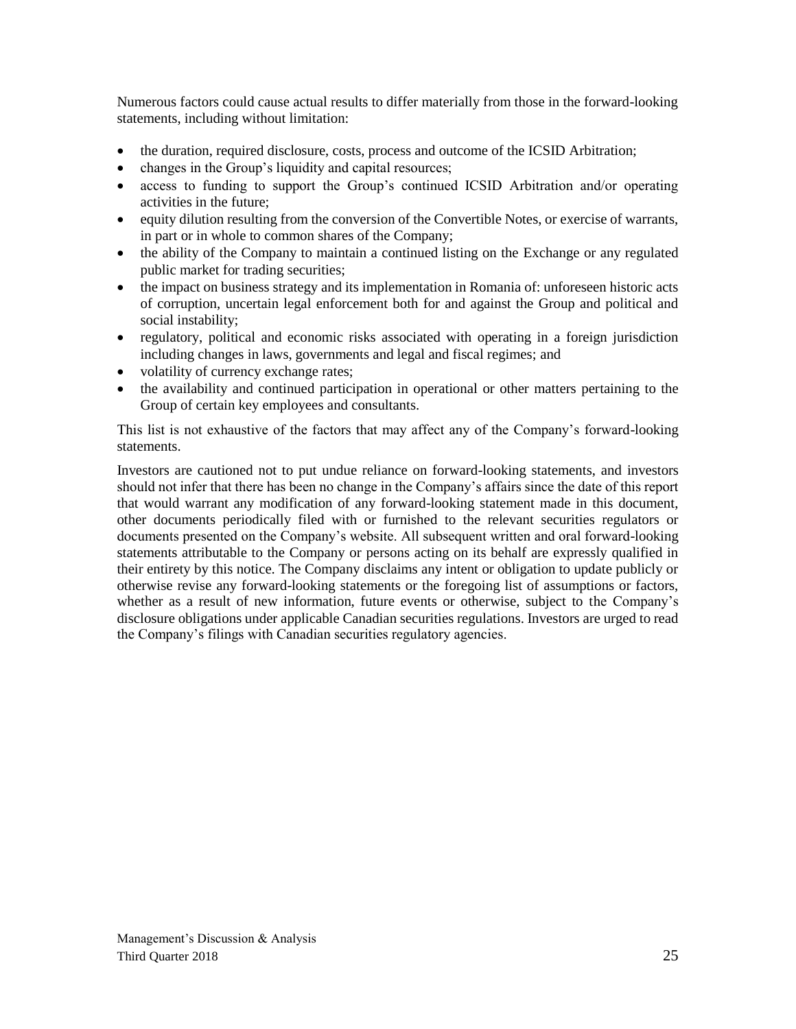Numerous factors could cause actual results to differ materially from those in the forward-looking statements, including without limitation:

- the duration, required disclosure, costs, process and outcome of the ICSID Arbitration;
- changes in the Group's liquidity and capital resources;
- access to funding to support the Group's continued ICSID Arbitration and/or operating activities in the future;
- equity dilution resulting from the conversion of the Convertible Notes, or exercise of warrants, in part or in whole to common shares of the Company;
- the ability of the Company to maintain a continued listing on the Exchange or any regulated public market for trading securities;
- the impact on business strategy and its implementation in Romania of: unforeseen historic acts of corruption, uncertain legal enforcement both for and against the Group and political and social instability;
- regulatory, political and economic risks associated with operating in a foreign jurisdiction including changes in laws, governments and legal and fiscal regimes; and
- volatility of currency exchange rates;
- the availability and continued participation in operational or other matters pertaining to the Group of certain key employees and consultants.

This list is not exhaustive of the factors that may affect any of the Company's forward-looking statements.

Investors are cautioned not to put undue reliance on forward-looking statements, and investors should not infer that there has been no change in the Company's affairs since the date of this report that would warrant any modification of any forward-looking statement made in this document, other documents periodically filed with or furnished to the relevant securities regulators or documents presented on the Company's website. All subsequent written and oral forward-looking statements attributable to the Company or persons acting on its behalf are expressly qualified in their entirety by this notice. The Company disclaims any intent or obligation to update publicly or otherwise revise any forward-looking statements or the foregoing list of assumptions or factors, whether as a result of new information, future events or otherwise, subject to the Company's disclosure obligations under applicable Canadian securities regulations. Investors are urged to read the Company's filings with Canadian securities regulatory agencies.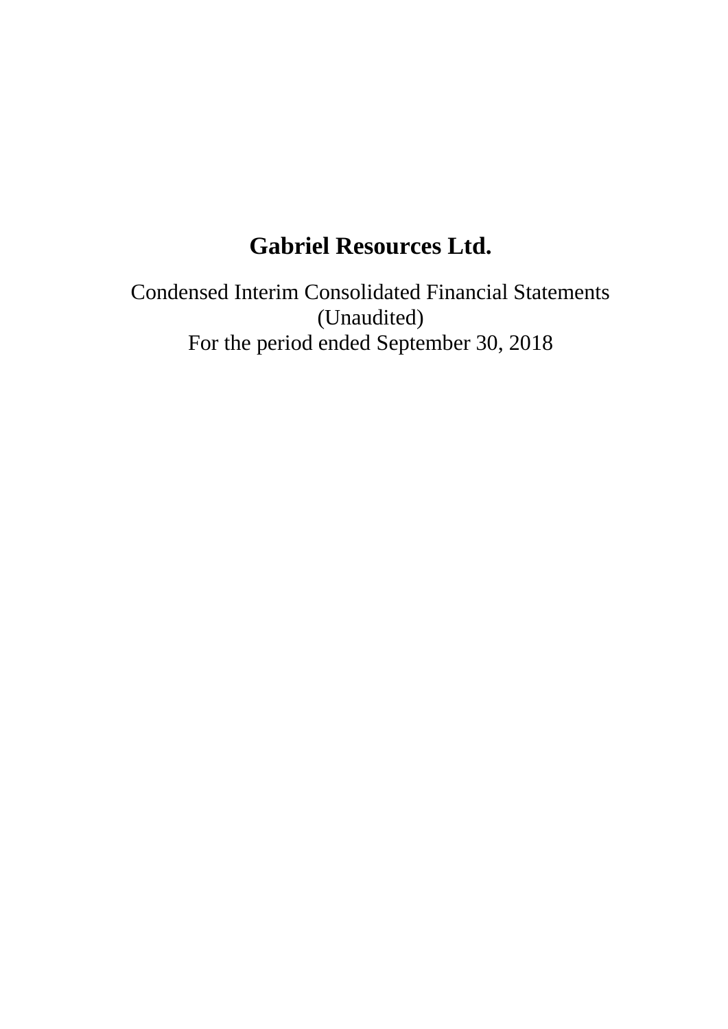# **Gabriel Resources Ltd.**

Condensed Interim Consolidated Financial Statements (Unaudited) For the period ended September 30, 2018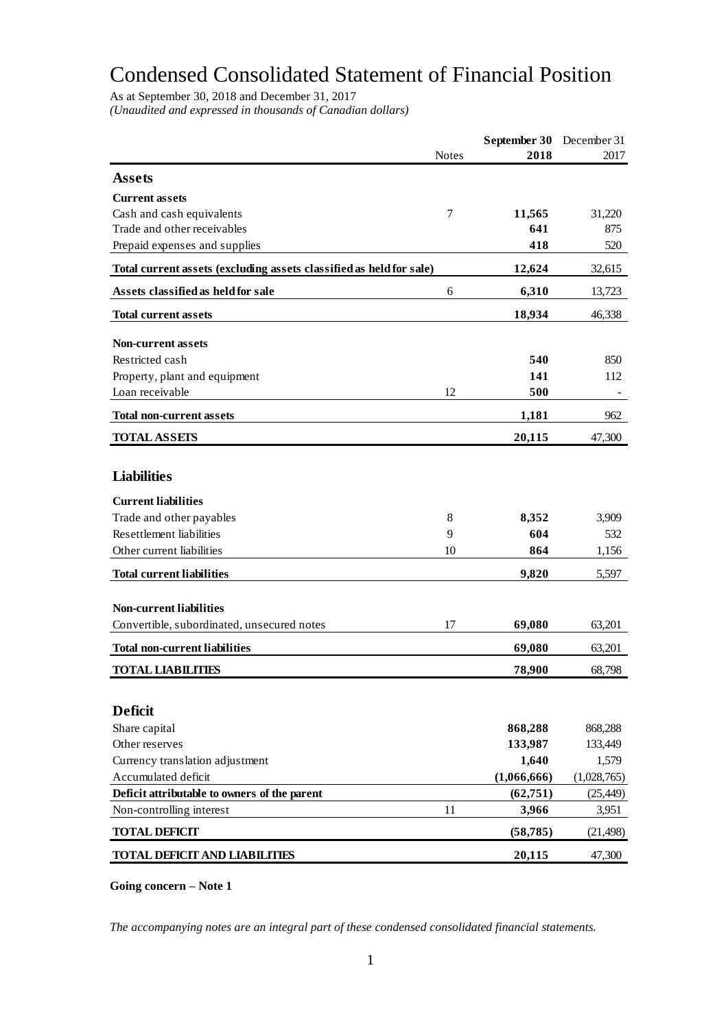# Condensed Consolidated Statement of Financial Position

As at September 30, 2018 and December 31, 2017 *(Unaudited and expressed in thousands of Canadian dollars)*

| 2018<br>Notes<br>2017<br><b>Assets</b><br><b>Current assets</b><br>Cash and cash equivalents<br>7<br>31,220<br>11,565<br>Trade and other receivables<br>641<br>875<br>418<br>520<br>Prepaid expenses and supplies<br>Total current assets (excluding assets classified as held for sale)<br>12,624<br>32,615<br>Assets classified as held for sale<br>6,310<br>6<br>13,723<br>18,934<br><b>Total current assets</b><br>46,338<br>Non-current assets<br>Restricted cash<br>540<br>850<br>141<br>Property, plant and equipment<br>112<br>Loan receivable<br>12<br>500<br><b>Total non-current assets</b><br>1,181<br>962<br><b>TOTAL ASSETS</b><br>20,115<br>47,300<br><b>Liabilities</b><br><b>Current liabilities</b><br>Trade and other payables<br>3,909<br>8<br>8,352<br>Resettlement liabilities<br>604<br>9<br>532<br>Other current liabilities<br>10<br>864<br>1,156<br><b>Total current liabilities</b><br>9,820<br>5,597<br><b>Non-current liabilities</b><br>Convertible, subordinated, unsecured notes<br>17<br>69,080<br>63,201<br><b>Total non-current liabilities</b><br>69,080<br>63,201<br><b>TOTAL LIABILITIES</b><br>78,900<br>68,798<br><b>Deficit</b><br>Share capital<br>868,288<br>868,288<br>Other reserves<br>133,987<br>133,449<br>Currency translation adjustment<br>1,640<br>1,579<br>Accumulated deficit<br>(1,066,666)<br>(1,028,765)<br>Deficit attributable to owners of the parent<br>(62,751)<br>(25, 449)<br>11<br>Non-controlling interest<br>3,966<br>3,951<br><b>TOTAL DEFICIT</b><br>(58, 785)<br>(21, 498)<br><b>TOTAL DEFICIT AND LIABILITIES</b><br>20,115<br>47,300 |  | September 30 | December 31 |
|--------------------------------------------------------------------------------------------------------------------------------------------------------------------------------------------------------------------------------------------------------------------------------------------------------------------------------------------------------------------------------------------------------------------------------------------------------------------------------------------------------------------------------------------------------------------------------------------------------------------------------------------------------------------------------------------------------------------------------------------------------------------------------------------------------------------------------------------------------------------------------------------------------------------------------------------------------------------------------------------------------------------------------------------------------------------------------------------------------------------------------------------------------------------------------------------------------------------------------------------------------------------------------------------------------------------------------------------------------------------------------------------------------------------------------------------------------------------------------------------------------------------------------------------------------------------------------------------------------------|--|--------------|-------------|
|                                                                                                                                                                                                                                                                                                                                                                                                                                                                                                                                                                                                                                                                                                                                                                                                                                                                                                                                                                                                                                                                                                                                                                                                                                                                                                                                                                                                                                                                                                                                                                                                              |  |              |             |
|                                                                                                                                                                                                                                                                                                                                                                                                                                                                                                                                                                                                                                                                                                                                                                                                                                                                                                                                                                                                                                                                                                                                                                                                                                                                                                                                                                                                                                                                                                                                                                                                              |  |              |             |
|                                                                                                                                                                                                                                                                                                                                                                                                                                                                                                                                                                                                                                                                                                                                                                                                                                                                                                                                                                                                                                                                                                                                                                                                                                                                                                                                                                                                                                                                                                                                                                                                              |  |              |             |
|                                                                                                                                                                                                                                                                                                                                                                                                                                                                                                                                                                                                                                                                                                                                                                                                                                                                                                                                                                                                                                                                                                                                                                                                                                                                                                                                                                                                                                                                                                                                                                                                              |  |              |             |
|                                                                                                                                                                                                                                                                                                                                                                                                                                                                                                                                                                                                                                                                                                                                                                                                                                                                                                                                                                                                                                                                                                                                                                                                                                                                                                                                                                                                                                                                                                                                                                                                              |  |              |             |
|                                                                                                                                                                                                                                                                                                                                                                                                                                                                                                                                                                                                                                                                                                                                                                                                                                                                                                                                                                                                                                                                                                                                                                                                                                                                                                                                                                                                                                                                                                                                                                                                              |  |              |             |
|                                                                                                                                                                                                                                                                                                                                                                                                                                                                                                                                                                                                                                                                                                                                                                                                                                                                                                                                                                                                                                                                                                                                                                                                                                                                                                                                                                                                                                                                                                                                                                                                              |  |              |             |
|                                                                                                                                                                                                                                                                                                                                                                                                                                                                                                                                                                                                                                                                                                                                                                                                                                                                                                                                                                                                                                                                                                                                                                                                                                                                                                                                                                                                                                                                                                                                                                                                              |  |              |             |
|                                                                                                                                                                                                                                                                                                                                                                                                                                                                                                                                                                                                                                                                                                                                                                                                                                                                                                                                                                                                                                                                                                                                                                                                                                                                                                                                                                                                                                                                                                                                                                                                              |  |              |             |
|                                                                                                                                                                                                                                                                                                                                                                                                                                                                                                                                                                                                                                                                                                                                                                                                                                                                                                                                                                                                                                                                                                                                                                                                                                                                                                                                                                                                                                                                                                                                                                                                              |  |              |             |
|                                                                                                                                                                                                                                                                                                                                                                                                                                                                                                                                                                                                                                                                                                                                                                                                                                                                                                                                                                                                                                                                                                                                                                                                                                                                                                                                                                                                                                                                                                                                                                                                              |  |              |             |
|                                                                                                                                                                                                                                                                                                                                                                                                                                                                                                                                                                                                                                                                                                                                                                                                                                                                                                                                                                                                                                                                                                                                                                                                                                                                                                                                                                                                                                                                                                                                                                                                              |  |              |             |
|                                                                                                                                                                                                                                                                                                                                                                                                                                                                                                                                                                                                                                                                                                                                                                                                                                                                                                                                                                                                                                                                                                                                                                                                                                                                                                                                                                                                                                                                                                                                                                                                              |  |              |             |
|                                                                                                                                                                                                                                                                                                                                                                                                                                                                                                                                                                                                                                                                                                                                                                                                                                                                                                                                                                                                                                                                                                                                                                                                                                                                                                                                                                                                                                                                                                                                                                                                              |  |              |             |
|                                                                                                                                                                                                                                                                                                                                                                                                                                                                                                                                                                                                                                                                                                                                                                                                                                                                                                                                                                                                                                                                                                                                                                                                                                                                                                                                                                                                                                                                                                                                                                                                              |  |              |             |
|                                                                                                                                                                                                                                                                                                                                                                                                                                                                                                                                                                                                                                                                                                                                                                                                                                                                                                                                                                                                                                                                                                                                                                                                                                                                                                                                                                                                                                                                                                                                                                                                              |  |              |             |
|                                                                                                                                                                                                                                                                                                                                                                                                                                                                                                                                                                                                                                                                                                                                                                                                                                                                                                                                                                                                                                                                                                                                                                                                                                                                                                                                                                                                                                                                                                                                                                                                              |  |              |             |
|                                                                                                                                                                                                                                                                                                                                                                                                                                                                                                                                                                                                                                                                                                                                                                                                                                                                                                                                                                                                                                                                                                                                                                                                                                                                                                                                                                                                                                                                                                                                                                                                              |  |              |             |
|                                                                                                                                                                                                                                                                                                                                                                                                                                                                                                                                                                                                                                                                                                                                                                                                                                                                                                                                                                                                                                                                                                                                                                                                                                                                                                                                                                                                                                                                                                                                                                                                              |  |              |             |
|                                                                                                                                                                                                                                                                                                                                                                                                                                                                                                                                                                                                                                                                                                                                                                                                                                                                                                                                                                                                                                                                                                                                                                                                                                                                                                                                                                                                                                                                                                                                                                                                              |  |              |             |
|                                                                                                                                                                                                                                                                                                                                                                                                                                                                                                                                                                                                                                                                                                                                                                                                                                                                                                                                                                                                                                                                                                                                                                                                                                                                                                                                                                                                                                                                                                                                                                                                              |  |              |             |
|                                                                                                                                                                                                                                                                                                                                                                                                                                                                                                                                                                                                                                                                                                                                                                                                                                                                                                                                                                                                                                                                                                                                                                                                                                                                                                                                                                                                                                                                                                                                                                                                              |  |              |             |
|                                                                                                                                                                                                                                                                                                                                                                                                                                                                                                                                                                                                                                                                                                                                                                                                                                                                                                                                                                                                                                                                                                                                                                                                                                                                                                                                                                                                                                                                                                                                                                                                              |  |              |             |
|                                                                                                                                                                                                                                                                                                                                                                                                                                                                                                                                                                                                                                                                                                                                                                                                                                                                                                                                                                                                                                                                                                                                                                                                                                                                                                                                                                                                                                                                                                                                                                                                              |  |              |             |
|                                                                                                                                                                                                                                                                                                                                                                                                                                                                                                                                                                                                                                                                                                                                                                                                                                                                                                                                                                                                                                                                                                                                                                                                                                                                                                                                                                                                                                                                                                                                                                                                              |  |              |             |
|                                                                                                                                                                                                                                                                                                                                                                                                                                                                                                                                                                                                                                                                                                                                                                                                                                                                                                                                                                                                                                                                                                                                                                                                                                                                                                                                                                                                                                                                                                                                                                                                              |  |              |             |
|                                                                                                                                                                                                                                                                                                                                                                                                                                                                                                                                                                                                                                                                                                                                                                                                                                                                                                                                                                                                                                                                                                                                                                                                                                                                                                                                                                                                                                                                                                                                                                                                              |  |              |             |
|                                                                                                                                                                                                                                                                                                                                                                                                                                                                                                                                                                                                                                                                                                                                                                                                                                                                                                                                                                                                                                                                                                                                                                                                                                                                                                                                                                                                                                                                                                                                                                                                              |  |              |             |
|                                                                                                                                                                                                                                                                                                                                                                                                                                                                                                                                                                                                                                                                                                                                                                                                                                                                                                                                                                                                                                                                                                                                                                                                                                                                                                                                                                                                                                                                                                                                                                                                              |  |              |             |
|                                                                                                                                                                                                                                                                                                                                                                                                                                                                                                                                                                                                                                                                                                                                                                                                                                                                                                                                                                                                                                                                                                                                                                                                                                                                                                                                                                                                                                                                                                                                                                                                              |  |              |             |
|                                                                                                                                                                                                                                                                                                                                                                                                                                                                                                                                                                                                                                                                                                                                                                                                                                                                                                                                                                                                                                                                                                                                                                                                                                                                                                                                                                                                                                                                                                                                                                                                              |  |              |             |
|                                                                                                                                                                                                                                                                                                                                                                                                                                                                                                                                                                                                                                                                                                                                                                                                                                                                                                                                                                                                                                                                                                                                                                                                                                                                                                                                                                                                                                                                                                                                                                                                              |  |              |             |
|                                                                                                                                                                                                                                                                                                                                                                                                                                                                                                                                                                                                                                                                                                                                                                                                                                                                                                                                                                                                                                                                                                                                                                                                                                                                                                                                                                                                                                                                                                                                                                                                              |  |              |             |
|                                                                                                                                                                                                                                                                                                                                                                                                                                                                                                                                                                                                                                                                                                                                                                                                                                                                                                                                                                                                                                                                                                                                                                                                                                                                                                                                                                                                                                                                                                                                                                                                              |  |              |             |
|                                                                                                                                                                                                                                                                                                                                                                                                                                                                                                                                                                                                                                                                                                                                                                                                                                                                                                                                                                                                                                                                                                                                                                                                                                                                                                                                                                                                                                                                                                                                                                                                              |  |              |             |
|                                                                                                                                                                                                                                                                                                                                                                                                                                                                                                                                                                                                                                                                                                                                                                                                                                                                                                                                                                                                                                                                                                                                                                                                                                                                                                                                                                                                                                                                                                                                                                                                              |  |              |             |
|                                                                                                                                                                                                                                                                                                                                                                                                                                                                                                                                                                                                                                                                                                                                                                                                                                                                                                                                                                                                                                                                                                                                                                                                                                                                                                                                                                                                                                                                                                                                                                                                              |  |              |             |
|                                                                                                                                                                                                                                                                                                                                                                                                                                                                                                                                                                                                                                                                                                                                                                                                                                                                                                                                                                                                                                                                                                                                                                                                                                                                                                                                                                                                                                                                                                                                                                                                              |  |              |             |

**Going concern – Note 1**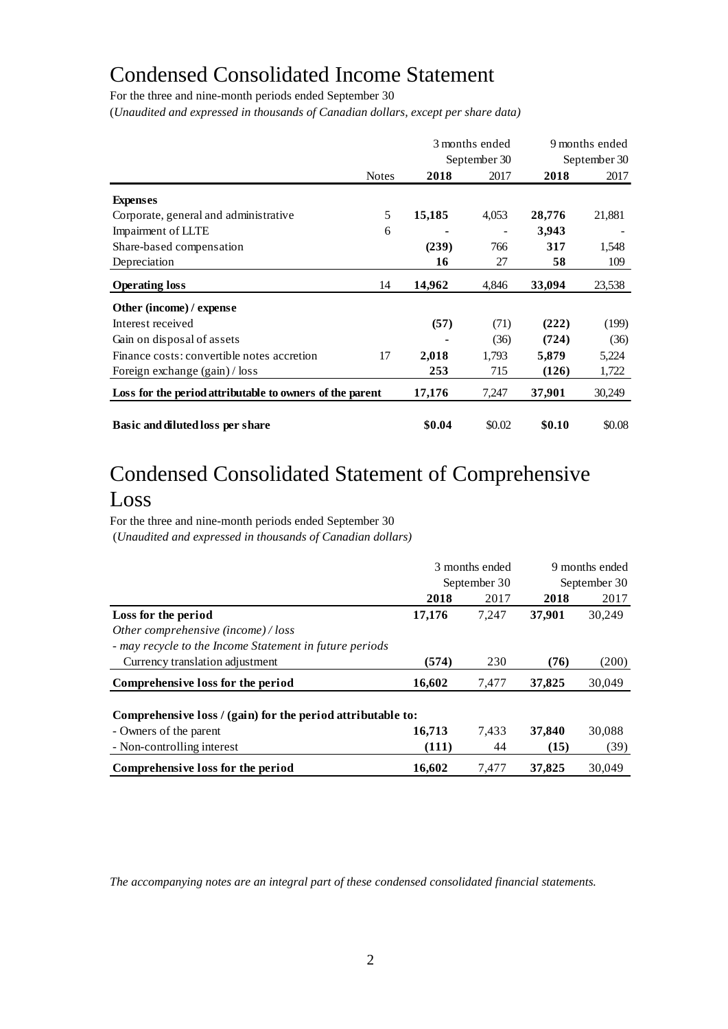# Condensed Consolidated Income Statement

For the three and nine-month periods ended September 30

(*Unaudited and expressed in thousands of Canadian dollars, except per share data)*

|                                                          |              |        | 3 months ended<br>September 30 |        | 9 months ended<br>September 30 |
|----------------------------------------------------------|--------------|--------|--------------------------------|--------|--------------------------------|
|                                                          | <b>Notes</b> | 2018   | 2017                           | 2018   | 2017                           |
| <b>Expenses</b>                                          |              |        |                                |        |                                |
| Corporate, general and administrative                    | 5            | 15,185 | 4,053                          | 28,776 | 21,881                         |
| Impairment of LLTE                                       | 6            |        |                                | 3,943  |                                |
| Share-based compensation                                 |              | (239)  | 766                            | 317    | 1,548                          |
| Depreciation                                             |              | 16     | 27                             | 58     | 109                            |
| <b>Operating loss</b>                                    | 14           | 14,962 | 4,846                          | 33,094 | 23,538                         |
| Other (income) / expense                                 |              |        |                                |        |                                |
| Interest received                                        |              | (57)   | (71)                           | (222)  | (199)                          |
| Gain on disposal of assets                               |              |        | (36)                           | (724)  | (36)                           |
| Finance costs: convertible notes accretion               | 17           | 2,018  | 1,793                          | 5,879  | 5,224                          |
| Foreign exchange (gain) / loss                           |              | 253    | 715                            | (126)  | 1,722                          |
| Loss for the period attributable to owners of the parent |              | 17,176 | 7,247                          | 37,901 | 30,249                         |
| Basic and diluted loss per share                         |              | \$0.04 | \$0.02                         | \$0.10 | \$0.08                         |

# Condensed Consolidated Statement of Comprehensive Loss

For the three and nine-month periods ended September 30

(*Unaudited and expressed in thousands of Canadian dollars)*

|                                                             | 3 months ended<br>September 30 |       | 9 months ended<br>September 30 |        |
|-------------------------------------------------------------|--------------------------------|-------|--------------------------------|--------|
|                                                             |                                |       |                                |        |
|                                                             | 2018                           | 2017  | 2018                           | 2017   |
| Loss for the period                                         | 17,176                         | 7,247 | 37,901                         | 30,249 |
| Other comprehensive (income) / loss                         |                                |       |                                |        |
| - may recycle to the Income Statement in future periods     |                                |       |                                |        |
| Currency translation adjustment                             | (574)                          | 230   | (76)                           | (200)  |
| Comprehensive loss for the period                           | 16,602                         | 7,477 | 37,825                         | 30,049 |
|                                                             |                                |       |                                |        |
| Comprehensive loss / (gain) for the period attributable to: |                                |       |                                |        |
| - Owners of the parent                                      | 16,713                         | 7,433 | 37,840                         | 30,088 |
| - Non-controlling interest                                  | (111)                          | 44    | (15)                           | (39)   |
| Comprehensive loss for the period                           | 16,602                         | 7,477 | 37,825                         | 30,049 |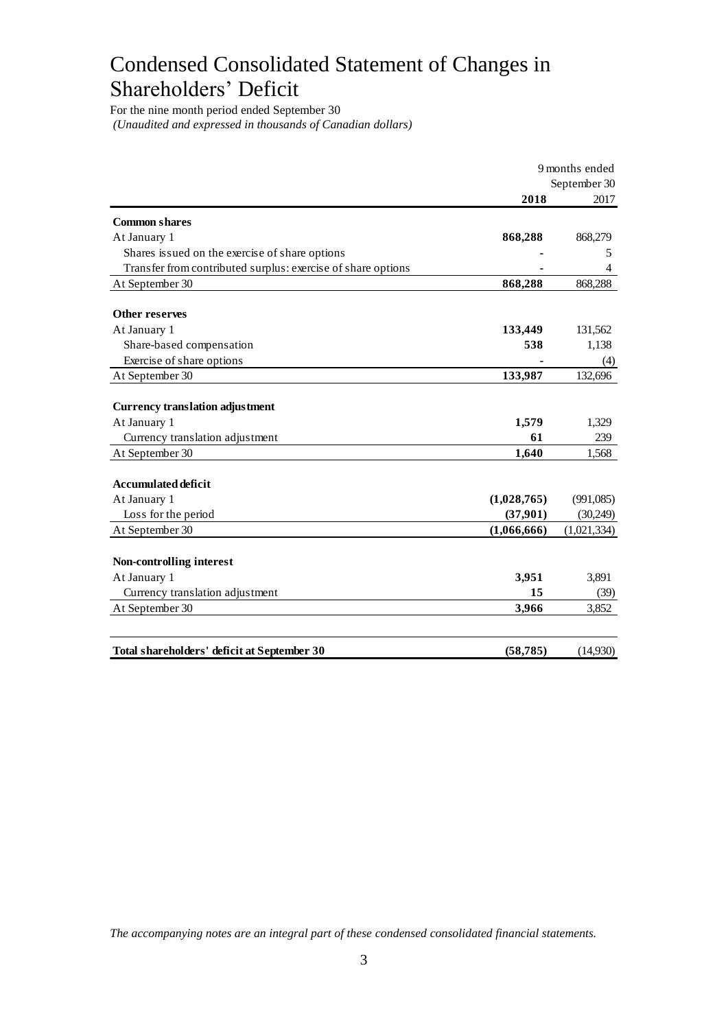# Condensed Consolidated Statement of Changes in Shareholders' Deficit

For the nine month period ended September 30 *(Unaudited and expressed in thousands of Canadian dollars)*

|                                                              | 9 months ended |              |
|--------------------------------------------------------------|----------------|--------------|
|                                                              |                | September 30 |
|                                                              | 2018           | 2017         |
| <b>Common shares</b>                                         |                |              |
| At January 1                                                 | 868,288        | 868,279      |
| Shares issued on the exercise of share options               |                | 5            |
| Transfer from contributed surplus: exercise of share options |                | 4            |
| At September 30                                              | 868,288        | 868,288      |
| <b>Other reserves</b>                                        |                |              |
| At January 1                                                 | 133,449        | 131,562      |
| Share-based compensation                                     | 538            | 1,138        |
| Exercise of share options                                    |                | (4)          |
| At September 30                                              | 133,987        | 132,696      |
|                                                              |                |              |
| <b>Currency translation adjustment</b>                       |                |              |
| At January 1                                                 | 1,579          | 1,329        |
| Currency translation adjustment                              | 61             | 239          |
| At September 30                                              | 1,640          | 1,568        |
| <b>Accumulated deficit</b>                                   |                |              |
| At January 1                                                 | (1,028,765)    | (991,085)    |
| Loss for the period                                          | (37,901)       | (30,249)     |
| At September 30                                              | (1,066,666)    | (1,021,334)  |
|                                                              |                |              |
| Non-controlling interest                                     |                |              |
| At January 1                                                 | 3,951          | 3,891        |
| Currency translation adjustment                              | 15             | (39)         |
| At September 30                                              | 3,966          | 3,852        |
|                                                              |                |              |
| Total shareholders' deficit at September 30                  | (58, 785)      | (14,930)     |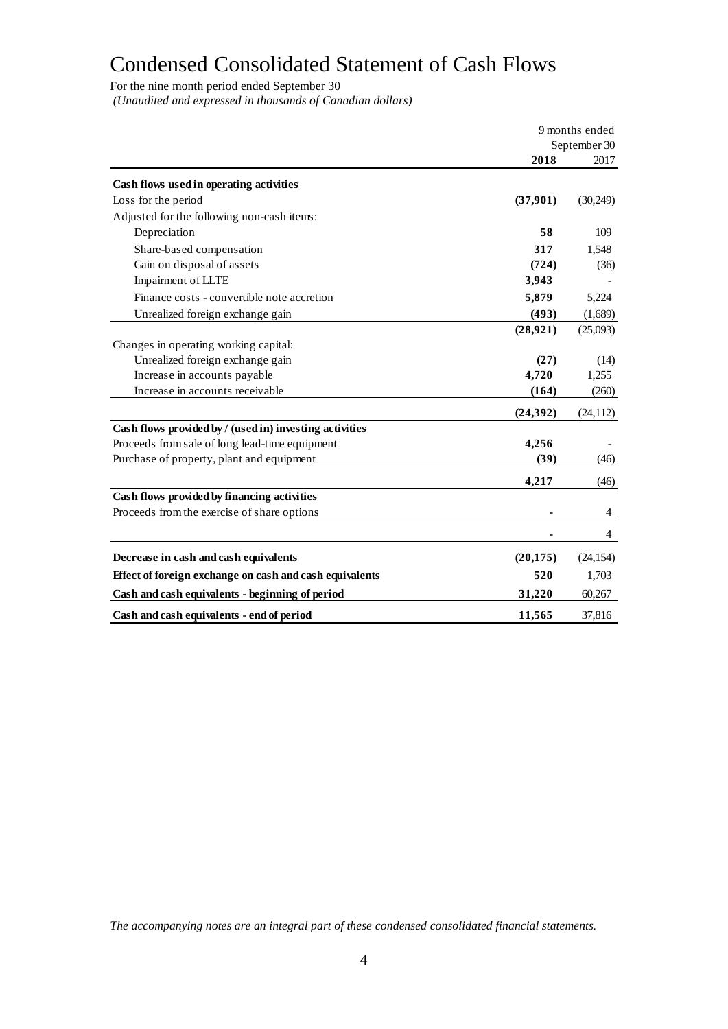# Condensed Consolidated Statement of Cash Flows

For the nine month period ended September 30 *(Unaudited and expressed in thousands of Canadian dollars)*

|                                                         | 9 months ended |              |  |
|---------------------------------------------------------|----------------|--------------|--|
|                                                         |                | September 30 |  |
|                                                         | 2018           | 2017         |  |
| Cash flows used in operating activities                 |                |              |  |
| Loss for the period                                     | (37,901)       | (30,249)     |  |
| Adjusted for the following non-cash items:              |                |              |  |
| Depreciation                                            | 58             | 109          |  |
| Share-based compensation                                | 317            | 1,548        |  |
| Gain on disposal of assets                              | (724)          | (36)         |  |
| Impairment of LLTE                                      | 3,943          |              |  |
| Finance costs - convertible note accretion              | 5,879          | 5,224        |  |
| Unrealized foreign exchange gain                        | (493)          | (1,689)      |  |
|                                                         | (28, 921)      | (25,093)     |  |
| Changes in operating working capital:                   |                |              |  |
| Unrealized foreign exchange gain                        | (27)           | (14)         |  |
| Increase in accounts payable                            | 4,720          | 1,255        |  |
| Increase in accounts receivable                         | (164)          | (260)        |  |
|                                                         | (24, 392)      | (24, 112)    |  |
| Cash flows provided by / (used in) investing activities |                |              |  |
| Proceeds from sale of long lead-time equipment          | 4,256          |              |  |
| Purchase of property, plant and equipment               | (39)           | (46)         |  |
|                                                         | 4,217          | (46)         |  |
| Cash flows provided by financing activities             |                |              |  |
| Proceeds from the exercise of share options             |                | 4            |  |
|                                                         |                | 4            |  |
| Decrease in cash and cash equivalents                   | (20, 175)      | (24, 154)    |  |
| Effect of foreign exchange on cash and cash equivalents | 520            | 1,703        |  |
| Cash and cash equivalents - beginning of period         | 31,220         | 60,267       |  |
| Cash and cash equivalents - end of period               | 11,565         | 37,816       |  |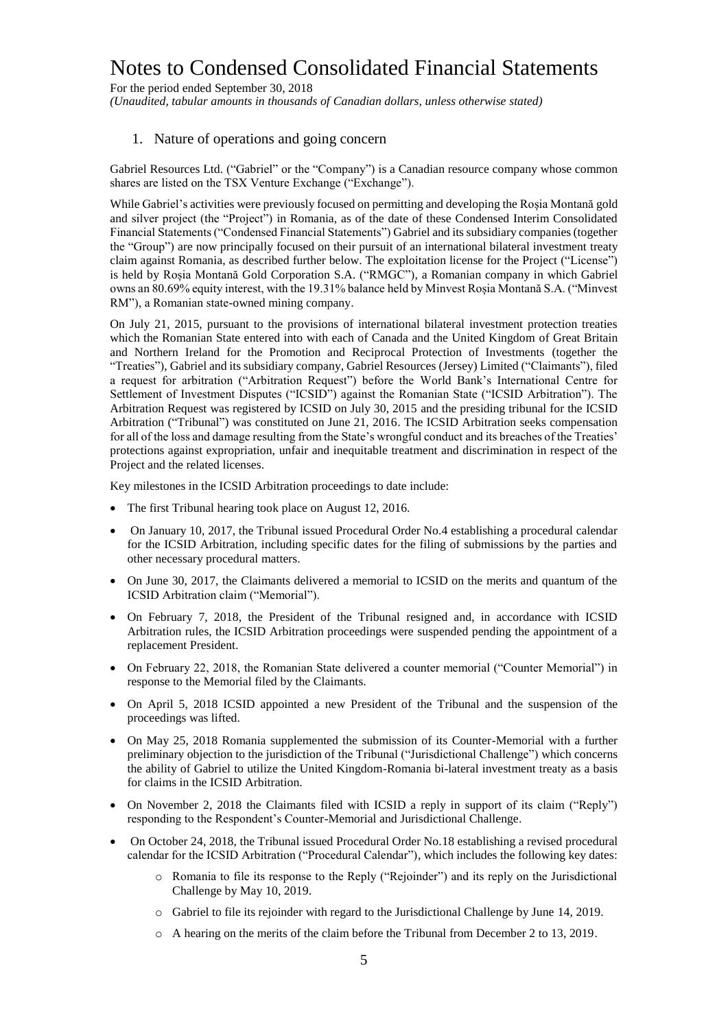For the period ended September 30, 2018 *(Unaudited, tabular amounts in thousands of Canadian dollars, unless otherwise stated)*

#### 1. Nature of operations and going concern

Gabriel Resources Ltd. ("Gabriel" or the "Company") is a Canadian resource company whose common shares are listed on the TSX Venture Exchange ("Exchange").

While Gabriel's activities were previously focused on permitting and developing the Roșia Montană gold and silver project (the "Project") in Romania, as of the date of these Condensed Interim Consolidated Financial Statements ("Condensed Financial Statements") Gabriel and its subsidiary companies (together the "Group") are now principally focused on their pursuit of an international bilateral investment treaty claim against Romania, as described further below. The exploitation license for the Project ("License") is held by Roșia Montană Gold Corporation S.A. ("RMGC"), a Romanian company in which Gabriel owns an 80.69% equity interest, with the 19.31% balance held by Minvest Roșia Montană S.A. ("Minvest RM"), a Romanian state-owned mining company.

On July 21, 2015, pursuant to the provisions of international bilateral investment protection treaties which the Romanian State entered into with each of Canada and the United Kingdom of Great Britain and Northern Ireland for the Promotion and Reciprocal Protection of Investments (together the "Treaties"), Gabriel and its subsidiary company, Gabriel Resources (Jersey) Limited ("Claimants"), filed a request for arbitration ("Arbitration Request") before the World Bank's International Centre for Settlement of Investment Disputes ("ICSID") against the Romanian State ("ICSID Arbitration"). The Arbitration Request was registered by ICSID on July 30, 2015 and the presiding tribunal for the ICSID Arbitration ("Tribunal") was constituted on June 21, 2016. The ICSID Arbitration seeks compensation for all of the loss and damage resulting from the State's wrongful conduct and its breaches of the Treaties' protections against expropriation, unfair and inequitable treatment and discrimination in respect of the Project and the related licenses.

Key milestones in the ICSID Arbitration proceedings to date include:

- The first Tribunal hearing took place on August 12, 2016.
- On January 10, 2017, the Tribunal issued Procedural Order No.4 establishing a procedural calendar for the ICSID Arbitration, including specific dates for the filing of submissions by the parties and other necessary procedural matters.
- On June 30, 2017, the Claimants delivered a memorial to ICSID on the merits and quantum of the ICSID Arbitration claim ("Memorial").
- On February 7, 2018, the President of the Tribunal resigned and, in accordance with ICSID Arbitration rules, the ICSID Arbitration proceedings were suspended pending the appointment of a replacement President.
- On February 22, 2018, the Romanian State delivered a counter memorial ("Counter Memorial") in response to the Memorial filed by the Claimants.
- On April 5, 2018 ICSID appointed a new President of the Tribunal and the suspension of the proceedings was lifted.
- On May 25, 2018 Romania supplemented the submission of its Counter-Memorial with a further preliminary objection to the jurisdiction of the Tribunal ("Jurisdictional Challenge") which concerns the ability of Gabriel to utilize the United Kingdom-Romania bi-lateral investment treaty as a basis for claims in the ICSID Arbitration.
- On November 2, 2018 the Claimants filed with ICSID a reply in support of its claim ("Reply") responding to the Respondent's Counter-Memorial and Jurisdictional Challenge.
- On October 24, 2018, the Tribunal issued Procedural Order No.18 establishing a revised procedural calendar for the ICSID Arbitration ("Procedural Calendar"), which includes the following key dates:
	- o Romania to file its response to the Reply ("Rejoinder") and its reply on the Jurisdictional Challenge by May 10, 2019.
	- o Gabriel to file its rejoinder with regard to the Jurisdictional Challenge by June 14, 2019.
	- $\circ$  A hearing on the merits of the claim before the Tribunal from December 2 to 13, 2019.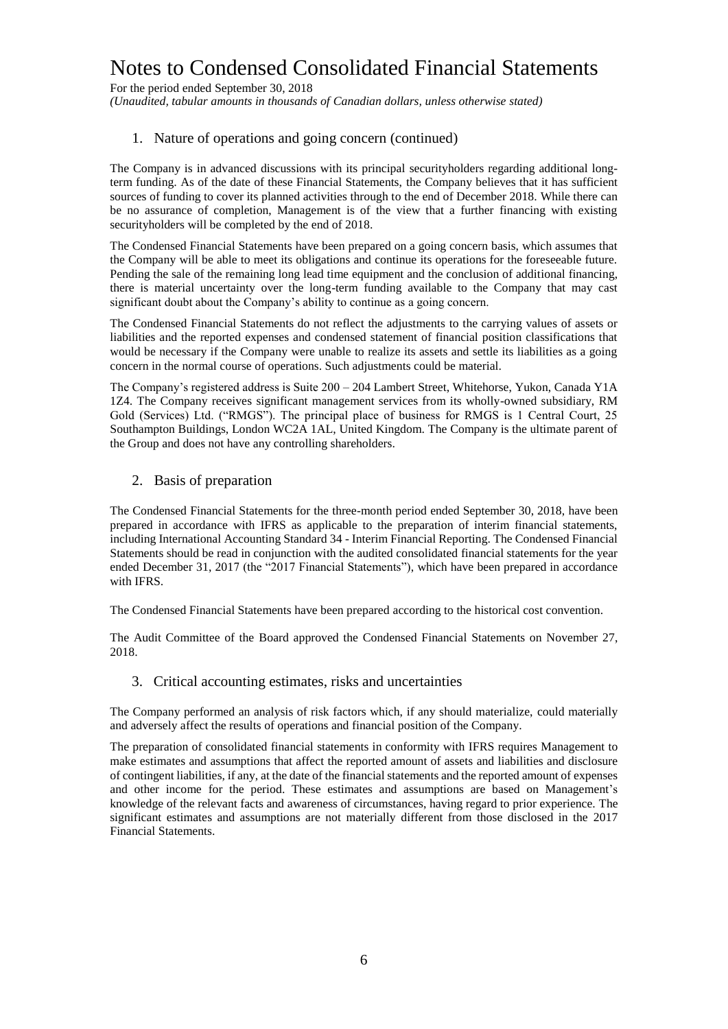For the period ended September 30, 2018

*(Unaudited, tabular amounts in thousands of Canadian dollars, unless otherwise stated)*

## 1. Nature of operations and going concern (continued)

The Company is in advanced discussions with its principal securityholders regarding additional longterm funding. As of the date of these Financial Statements, the Company believes that it has sufficient sources of funding to cover its planned activities through to the end of December 2018. While there can be no assurance of completion, Management is of the view that a further financing with existing securityholders will be completed by the end of 2018.

The Condensed Financial Statements have been prepared on a going concern basis, which assumes that the Company will be able to meet its obligations and continue its operations for the foreseeable future. Pending the sale of the remaining long lead time equipment and the conclusion of additional financing, there is material uncertainty over the long-term funding available to the Company that may cast significant doubt about the Company's ability to continue as a going concern.

The Condensed Financial Statements do not reflect the adjustments to the carrying values of assets or liabilities and the reported expenses and condensed statement of financial position classifications that would be necessary if the Company were unable to realize its assets and settle its liabilities as a going concern in the normal course of operations. Such adjustments could be material.

The Company's registered address is Suite 200 – 204 Lambert Street, Whitehorse, Yukon, Canada Y1A 1Z4. The Company receives significant management services from its wholly-owned subsidiary, RM Gold (Services) Ltd. ("RMGS"). The principal place of business for RMGS is 1 Central Court, 25 Southampton Buildings, London WC2A 1AL, United Kingdom. The Company is the ultimate parent of the Group and does not have any controlling shareholders.

#### 2. Basis of preparation

The Condensed Financial Statements for the three-month period ended September 30, 2018, have been prepared in accordance with IFRS as applicable to the preparation of interim financial statements, including International Accounting Standard 34 - Interim Financial Reporting. The Condensed Financial Statements should be read in conjunction with the audited consolidated financial statements for the year ended December 31, 2017 (the "2017 Financial Statements"), which have been prepared in accordance with IFRS.

The Condensed Financial Statements have been prepared according to the historical cost convention.

The Audit Committee of the Board approved the Condensed Financial Statements on November 27, 2018.

3. Critical accounting estimates, risks and uncertainties

The Company performed an analysis of risk factors which, if any should materialize, could materially and adversely affect the results of operations and financial position of the Company.

The preparation of consolidated financial statements in conformity with IFRS requires Management to make estimates and assumptions that affect the reported amount of assets and liabilities and disclosure of contingent liabilities, if any, at the date of the financial statements and the reported amount of expenses and other income for the period. These estimates and assumptions are based on Management's knowledge of the relevant facts and awareness of circumstances, having regard to prior experience. The significant estimates and assumptions are not materially different from those disclosed in the 2017 Financial Statements.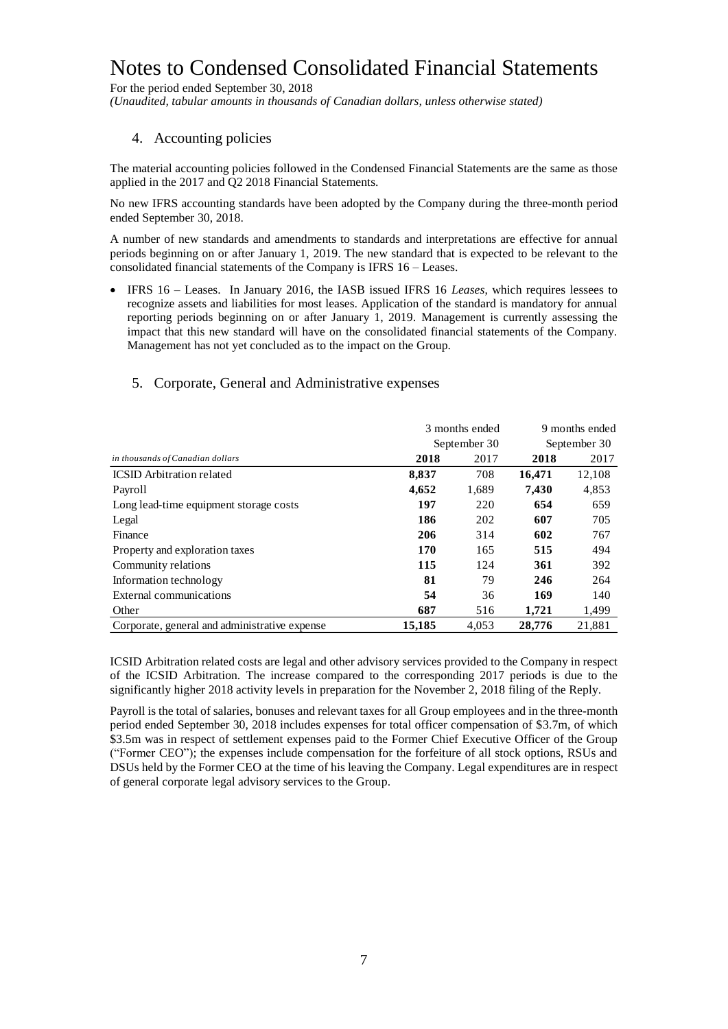For the period ended September 30, 2018

*(Unaudited, tabular amounts in thousands of Canadian dollars, unless otherwise stated)*

### 4. Accounting policies

The material accounting policies followed in the Condensed Financial Statements are the same as those applied in the 2017 and Q2 2018 Financial Statements.

No new IFRS accounting standards have been adopted by the Company during the three-month period ended September 30, 2018.

A number of new standards and amendments to standards and interpretations are effective for annual periods beginning on or after January 1, 2019. The new standard that is expected to be relevant to the consolidated financial statements of the Company is IFRS 16 – Leases.

 IFRS 16 – Leases. In January 2016, the IASB issued IFRS 16 *Leases*, which requires lessees to recognize assets and liabilities for most leases. Application of the standard is mandatory for annual reporting periods beginning on or after January 1, 2019. Management is currently assessing the impact that this new standard will have on the consolidated financial statements of the Company. Management has not yet concluded as to the impact on the Group.

## 5. Corporate, General and Administrative expenses

|                                               | 3 months ended | 9 months ended |              |        |  |
|-----------------------------------------------|----------------|----------------|--------------|--------|--|
|                                               |                | September 30   | September 30 |        |  |
| in thousands of Canadian dollars              | 2018           | 2017           | 2018         | 2017   |  |
| <b>ICSID</b> Arbitration related              | 8,837          | 708            | 16.471       | 12,108 |  |
| Payroll                                       | 4,652          | 1,689          | 7,430        | 4,853  |  |
| Long lead-time equipment storage costs        | 197            | 220            | 654          | 659    |  |
| Legal                                         | 186            | 202            | 607          | 705    |  |
| Finance                                       | 206            | 314            | 602          | 767    |  |
| Property and exploration taxes                | 170            | 165            | 515          | 494    |  |
| Community relations                           | 115            | 124            | 361          | 392    |  |
| Information technology                        | 81             | 79             | 246          | 264    |  |
| External communications                       | 54             | 36             | 169          | 140    |  |
| Other                                         | 687            | 516            | 1.721        | 1,499  |  |
| Corporate, general and administrative expense | 15,185         | 4,053          | 28,776       | 21,881 |  |

ICSID Arbitration related costs are legal and other advisory services provided to the Company in respect of the ICSID Arbitration. The increase compared to the corresponding 2017 periods is due to the significantly higher 2018 activity levels in preparation for the November 2, 2018 filing of the Reply.

Payroll is the total of salaries, bonuses and relevant taxes for all Group employees and in the three-month period ended September 30, 2018 includes expenses for total officer compensation of \$3.7m, of which \$3.5m was in respect of settlement expenses paid to the Former Chief Executive Officer of the Group ("Former CEO"); the expenses include compensation for the forfeiture of all stock options, RSUs and DSUs held by the Former CEO at the time of his leaving the Company. Legal expenditures are in respect of general corporate legal advisory services to the Group.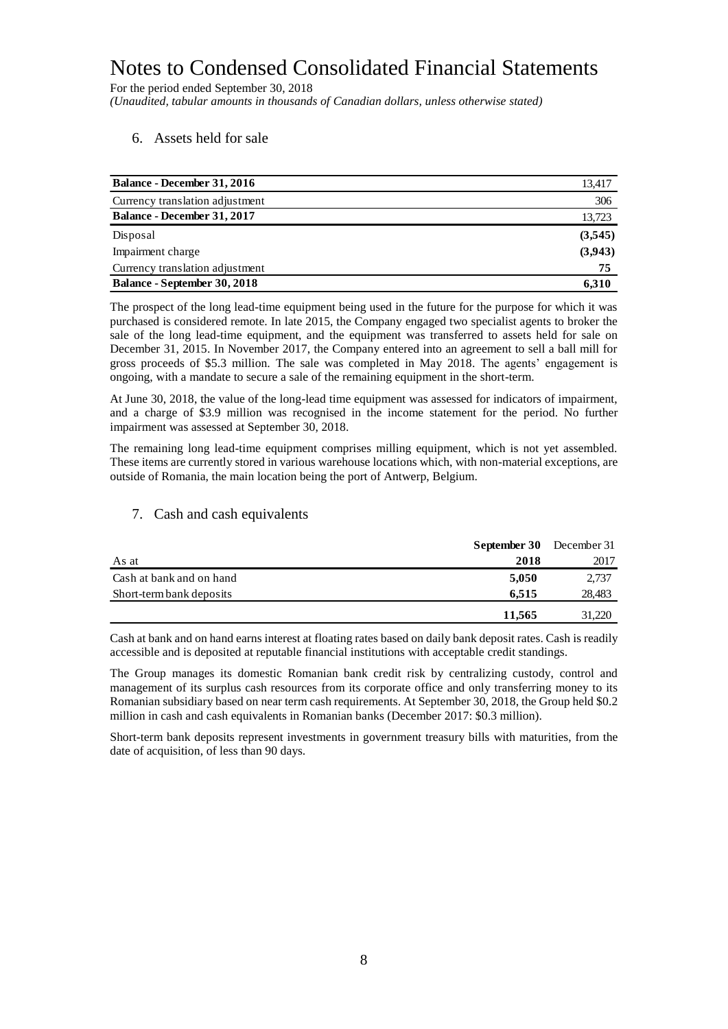For the period ended September 30, 2018 *(Unaudited, tabular amounts in thousands of Canadian dollars, unless otherwise stated)*

### 6. Assets held for sale

| <b>Balance - December 31, 2016</b>  | 13,417  |
|-------------------------------------|---------|
| Currency translation adjustment     | 306     |
| <b>Balance - December 31, 2017</b>  | 13,723  |
| Disposal                            | (3,545) |
| Impairment charge                   | (3,943) |
| Currency translation adjustment     | 75      |
| <b>Balance - September 30, 2018</b> | 6.310   |

The prospect of the long lead-time equipment being used in the future for the purpose for which it was purchased is considered remote. In late 2015, the Company engaged two specialist agents to broker the sale of the long lead-time equipment, and the equipment was transferred to assets held for sale on December 31, 2015. In November 2017, the Company entered into an agreement to sell a ball mill for gross proceeds of \$5.3 million. The sale was completed in May 2018. The agents' engagement is ongoing, with a mandate to secure a sale of the remaining equipment in the short-term.

At June 30, 2018, the value of the long-lead time equipment was assessed for indicators of impairment, and a charge of \$3.9 million was recognised in the income statement for the period. No further impairment was assessed at September 30, 2018.

The remaining long lead-time equipment comprises milling equipment, which is not yet assembled. These items are currently stored in various warehouse locations which, with non-material exceptions, are outside of Romania, the main location being the port of Antwerp, Belgium.

#### 7. Cash and cash equivalents

|                          | <b>September 30</b> December 31 |        |
|--------------------------|---------------------------------|--------|
| As at                    | 2018                            | 2017   |
| Cash at bank and on hand | 5.050                           | 2,737  |
| Short-term bank deposits | 6.515                           | 28,483 |
|                          | 11.565                          | 31.220 |

Cash at bank and on hand earns interest at floating rates based on daily bank deposit rates. Cash is readily accessible and is deposited at reputable financial institutions with acceptable credit standings.

The Group manages its domestic Romanian bank credit risk by centralizing custody, control and management of its surplus cash resources from its corporate office and only transferring money to its Romanian subsidiary based on near term cash requirements. At September 30, 2018, the Group held \$0.2 million in cash and cash equivalents in Romanian banks (December 2017: \$0.3 million).

Short-term bank deposits represent investments in government treasury bills with maturities, from the date of acquisition, of less than 90 days.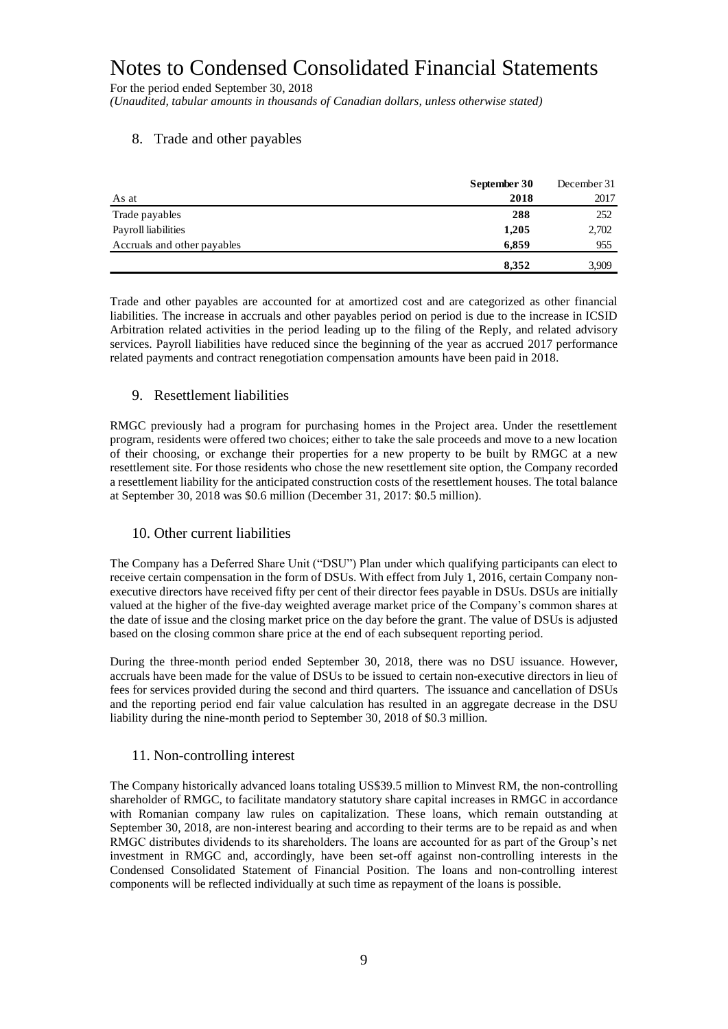For the period ended September 30, 2018 *(Unaudited, tabular amounts in thousands of Canadian dollars, unless otherwise stated)*

## 8. Trade and other payables

|                             | September 30 | December 31 |
|-----------------------------|--------------|-------------|
| As at                       | 2018         | 2017        |
| Trade payables              | 288          | 252         |
| Payroll liabilities         | 1,205        | 2,702       |
| Accruals and other payables | 6,859        | 955         |
|                             | 8,352        | 3,909       |

Trade and other payables are accounted for at amortized cost and are categorized as other financial liabilities. The increase in accruals and other payables period on period is due to the increase in ICSID Arbitration related activities in the period leading up to the filing of the Reply, and related advisory services. Payroll liabilities have reduced since the beginning of the year as accrued 2017 performance related payments and contract renegotiation compensation amounts have been paid in 2018.

## 9. Resettlement liabilities

RMGC previously had a program for purchasing homes in the Project area. Under the resettlement program, residents were offered two choices; either to take the sale proceeds and move to a new location of their choosing, or exchange their properties for a new property to be built by RMGC at a new resettlement site. For those residents who chose the new resettlement site option, the Company recorded a resettlement liability for the anticipated construction costs of the resettlement houses. The total balance at September 30, 2018 was \$0.6 million (December 31, 2017: \$0.5 million).

#### 10. Other current liabilities

The Company has a Deferred Share Unit ("DSU") Plan under which qualifying participants can elect to receive certain compensation in the form of DSUs. With effect from July 1, 2016, certain Company nonexecutive directors have received fifty per cent of their director fees payable in DSUs. DSUs are initially valued at the higher of the five-day weighted average market price of the Company's common shares at the date of issue and the closing market price on the day before the grant. The value of DSUs is adjusted based on the closing common share price at the end of each subsequent reporting period.

During the three-month period ended September 30, 2018, there was no DSU issuance. However, accruals have been made for the value of DSUs to be issued to certain non-executive directors in lieu of fees for services provided during the second and third quarters. The issuance and cancellation of DSUs and the reporting period end fair value calculation has resulted in an aggregate decrease in the DSU liability during the nine-month period to September 30, 2018 of \$0.3 million.

## 11. Non-controlling interest

The Company historically advanced loans totaling US\$39.5 million to Minvest RM, the non-controlling shareholder of RMGC, to facilitate mandatory statutory share capital increases in RMGC in accordance with Romanian company law rules on capitalization. These loans, which remain outstanding at September 30, 2018, are non-interest bearing and according to their terms are to be repaid as and when RMGC distributes dividends to its shareholders. The loans are accounted for as part of the Group's net investment in RMGC and, accordingly, have been set-off against non-controlling interests in the Condensed Consolidated Statement of Financial Position. The loans and non-controlling interest components will be reflected individually at such time as repayment of the loans is possible.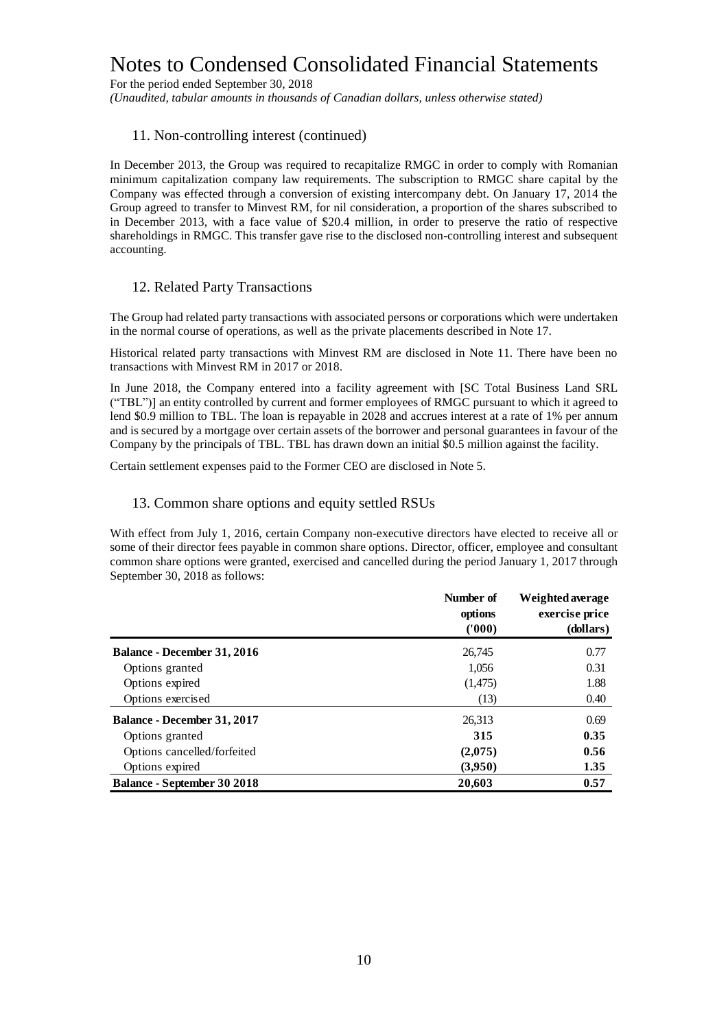For the period ended September 30, 2018

*(Unaudited, tabular amounts in thousands of Canadian dollars, unless otherwise stated)*

#### 11. Non-controlling interest (continued)

In December 2013, the Group was required to recapitalize RMGC in order to comply with Romanian minimum capitalization company law requirements. The subscription to RMGC share capital by the Company was effected through a conversion of existing intercompany debt. On January 17, 2014 the Group agreed to transfer to Minvest RM, for nil consideration, a proportion of the shares subscribed to in December 2013, with a face value of \$20.4 million, in order to preserve the ratio of respective shareholdings in RMGC. This transfer gave rise to the disclosed non-controlling interest and subsequent accounting.

#### 12. Related Party Transactions

The Group had related party transactions with associated persons or corporations which were undertaken in the normal course of operations, as well as the private placements described in Note 17.

Historical related party transactions with Minvest RM are disclosed in Note 11. There have been no transactions with Minvest RM in 2017 or 2018.

In June 2018, the Company entered into a facility agreement with [SC Total Business Land SRL ("TBL")] an entity controlled by current and former employees of RMGC pursuant to which it agreed to lend \$0.9 million to TBL. The loan is repayable in 2028 and accrues interest at a rate of 1% per annum and is secured by a mortgage over certain assets of the borrower and personal guarantees in favour of the Company by the principals of TBL. TBL has drawn down an initial \$0.5 million against the facility.

Certain settlement expenses paid to the Former CEO are disclosed in Note 5.

#### 13. Common share options and equity settled RSUs

With effect from July 1, 2016, certain Company non-executive directors have elected to receive all or some of their director fees payable in common share options. Director, officer, employee and consultant common share options were granted, exercised and cancelled during the period January 1, 2017 through September 30, 2018 as follows:

|                                    | Number of<br>options<br>(1000) | Weighted average<br>exercise price<br>(dollars) |
|------------------------------------|--------------------------------|-------------------------------------------------|
| <b>Balance - December 31, 2016</b> | 26,745                         | 0.77                                            |
| Options granted                    | 1,056                          | 0.31                                            |
| Options expired                    | (1,475)                        | 1.88                                            |
| Options exercised                  | (13)                           | 0.40                                            |
| <b>Balance - December 31, 2017</b> | 26,313                         | 0.69                                            |
| Options granted                    | 315                            | 0.35                                            |
| Options cancelled/forfeited        | (2,075)                        | 0.56                                            |
| Options expired                    | (3,950)                        | 1.35                                            |
| <b>Balance - September 30 2018</b> | 20,603                         | 0.57                                            |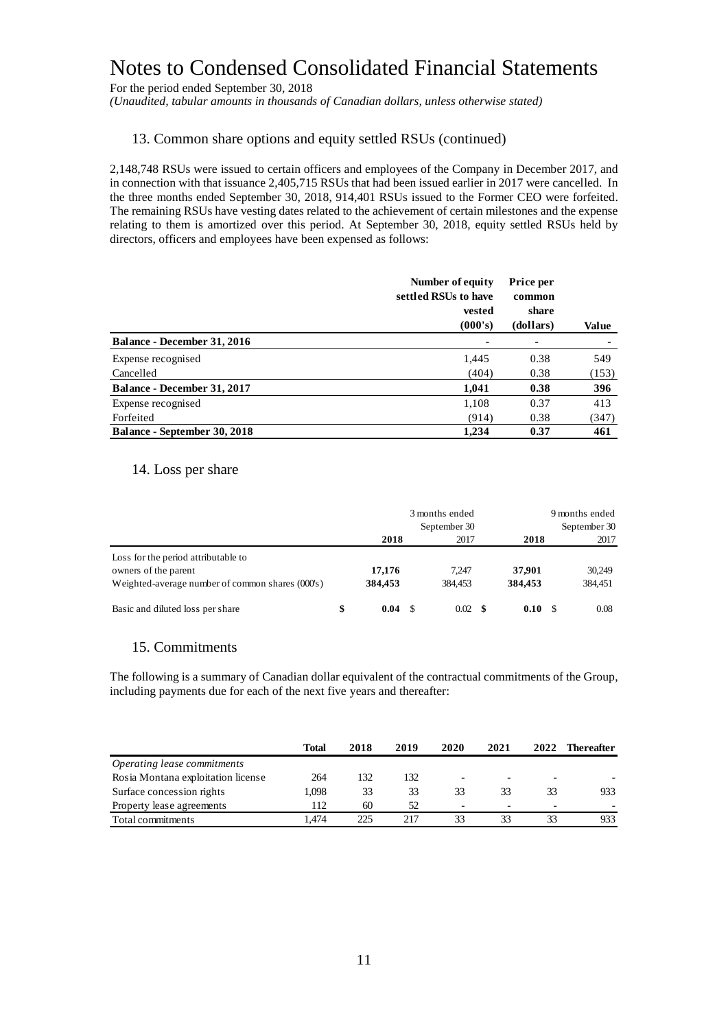For the period ended September 30, 2018

*(Unaudited, tabular amounts in thousands of Canadian dollars, unless otherwise stated)*

#### 13. Common share options and equity settled RSUs (continued)

2,148,748 RSUs were issued to certain officers and employees of the Company in December 2017, and in connection with that issuance 2,405,715 RSUs that had been issued earlier in 2017 were cancelled. In the three months ended September 30, 2018, 914,401 RSUs issued to the Former CEO were forfeited. The remaining RSUs have vesting dates related to the achievement of certain milestones and the expense relating to them is amortized over this period. At September 30, 2018, equity settled RSUs held by directors, officers and employees have been expensed as follows:

|                                     | Number of equity<br>settled RSUs to have<br>vested | Price per<br>common<br>share |       |
|-------------------------------------|----------------------------------------------------|------------------------------|-------|
|                                     | (000's)                                            | (dollars)                    | Value |
| <b>Balance - December 31, 2016</b>  |                                                    |                              |       |
| Expense recognised                  | 1,445                                              | 0.38                         | 549   |
| Cancelled                           | (404)                                              | 0.38                         | (153) |
| <b>Balance - December 31, 2017</b>  | 1,041                                              | 0.38                         | 396   |
| Expense recognised                  | 1,108                                              | 0.37                         | 413   |
| Forfeited                           | (914)                                              | 0.38                         | (347) |
| <b>Balance - September 30, 2018</b> | 1,234                                              | 0.37                         | 461   |

#### 14. Loss per share

|                                                  | 3 months ended<br>September 30 |         |  | 9 months ended  |  |         | September 30 |         |
|--------------------------------------------------|--------------------------------|---------|--|-----------------|--|---------|--------------|---------|
|                                                  |                                | 2018    |  | 2017            |  | 2018    |              | 2017    |
| Loss for the period attributable to              |                                |         |  |                 |  |         |              |         |
| owners of the parent                             |                                | 17,176  |  | 7.247           |  | 37.901  |              | 30,249  |
| Weighted-average number of common shares (000's) |                                | 384,453 |  | 384.453         |  | 384,453 |              | 384,451 |
| Basic and diluted loss per share                 | \$                             | 0.04    |  | $0.02 \quad$ \$ |  | 0.10    | -S           | 0.08    |

#### 15. Commitments

The following is a summary of Canadian dollar equivalent of the contractual commitments of the Group, including payments due for each of the next five years and thereafter:

|                                    | Total | 2018 | 2019 | 2020 | 2021 | 2022                     | Thereafter |
|------------------------------------|-------|------|------|------|------|--------------------------|------------|
| Operating lease commitments        |       |      |      |      |      |                          |            |
| Rosia Montana exploitation license | 264   | 132  | 132  |      |      | -                        |            |
| Surface concession rights          | 1.098 | 33   | 33   | 33   | 33   | 33                       | 933        |
| Property lease agreements          | 112   | 60   | 52   | -    | -    | $\overline{\phantom{0}}$ |            |
| Total commitments                  | .474  | 225  | 217  | 33   | 33   | 33                       | 933.       |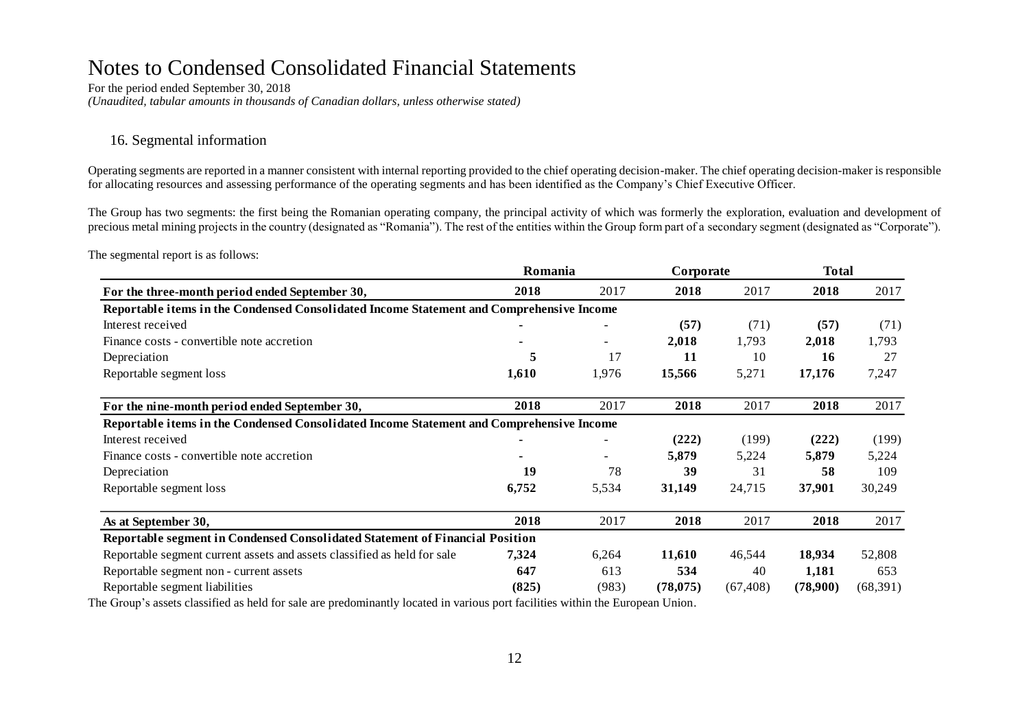For the period ended September 30, 2018 *(Unaudited, tabular amounts in thousands of Canadian dollars, unless otherwise stated)*

#### 16. Segmental information

Operating segments are reported in a manner consistent with internal reporting provided to the chief operating decision-maker. The chief operating decision-maker is responsible for allocating resources and assessing performance of the operating segments and has been identified as the Company's Chief Executive Officer.

The Group has two segments: the first being the Romanian operating company, the principal activity of which was formerly the exploration, evaluation and development of precious metal mining projects in the country (designated as "Romania"). The rest of the entities within the Group form part of a secondary segment (designated as "Corporate").

The segmental report is as follows:

|                                                                                          | Romania |                          | Corporate |           | <b>Total</b> |          |  |
|------------------------------------------------------------------------------------------|---------|--------------------------|-----------|-----------|--------------|----------|--|
| For the three-month period ended September 30,                                           | 2018    | 2017                     | 2018      | 2017      | 2018         | 2017     |  |
| Reportable items in the Condensed Consolidated Income Statement and Comprehensive Income |         |                          |           |           |              |          |  |
| Interest received                                                                        |         |                          | (57)      | (71)      | (57)         | (71)     |  |
| Finance costs - convertible note accretion                                               |         | ۰.                       | 2,018     | 1,793     | 2,018        | 1,793    |  |
| Depreciation                                                                             | 5       | 17                       | 11        | 10        | 16           | 27       |  |
| Reportable segment loss                                                                  | 1,610   | 1,976                    | 15,566    | 5,271     | 17,176       | 7,247    |  |
| For the nine-month period ended September 30,                                            | 2018    | 2017                     | 2018      | 2017      | 2018         | 2017     |  |
| Reportable items in the Condensed Consolidated Income Statement and Comprehensive Income |         |                          |           |           |              |          |  |
| Interest received                                                                        |         | $\overline{\phantom{0}}$ | (222)     | (199)     | (222)        | (199)    |  |
| Finance costs - convertible note accretion                                               |         |                          | 5,879     | 5,224     | 5,879        | 5,224    |  |
| Depreciation                                                                             | 19      | 78                       | 39        | 31        | 58           | 109      |  |
| Reportable segment loss                                                                  | 6,752   | 5,534                    | 31,149    | 24,715    | 37,901       | 30,249   |  |
| As at September 30,                                                                      | 2018    | 2017                     | 2018      | 2017      | 2018         | 2017     |  |
| Reportable segment in Condensed Consolidated Statement of Financial Position             |         |                          |           |           |              |          |  |
| Reportable segment current assets and assets classified as held for sale                 | 7,324   | 6,264                    | 11,610    | 46,544    | 18,934       | 52,808   |  |
| Reportable segment non - current assets                                                  | 647     | 613                      | 534       | 40        | 1,181        | 653      |  |
| Reportable segment liabilities                                                           | (825)   | (983)                    | (78, 075) | (67, 408) | (78,900)     | (68,391) |  |

The Group's assets classified as held for sale are predominantly located in various port facilities within the European Union.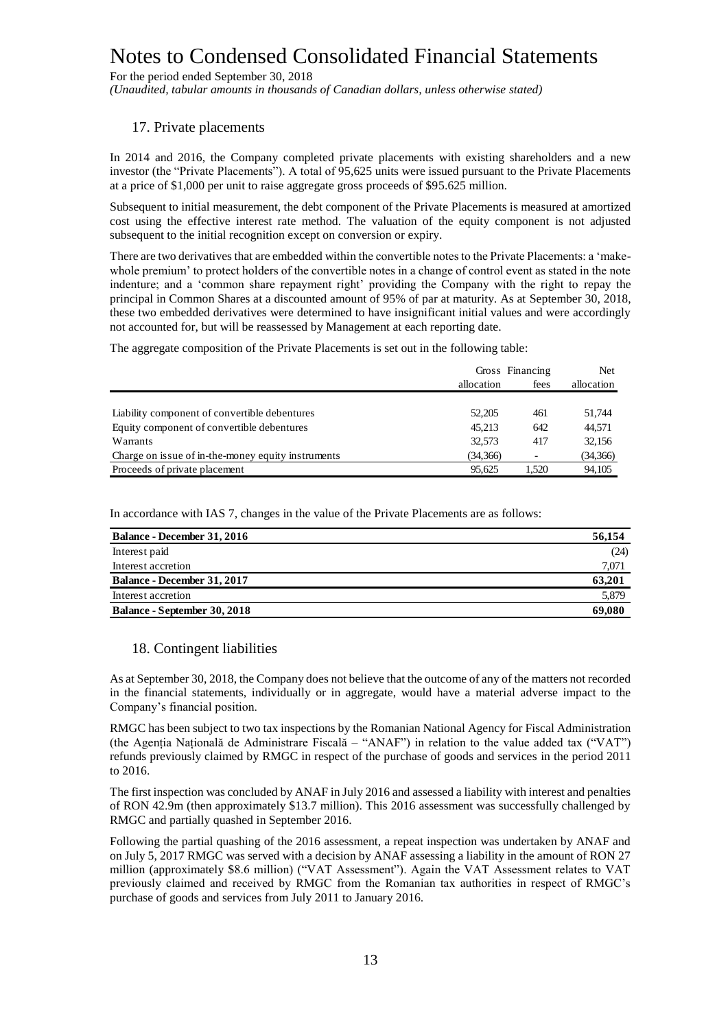For the period ended September 30, 2018

*(Unaudited, tabular amounts in thousands of Canadian dollars, unless otherwise stated)*

#### 17. Private placements

In 2014 and 2016, the Company completed private placements with existing shareholders and a new investor (the "Private Placements"). A total of 95,625 units were issued pursuant to the Private Placements at a price of \$1,000 per unit to raise aggregate gross proceeds of \$95.625 million.

Subsequent to initial measurement, the debt component of the Private Placements is measured at amortized cost using the effective interest rate method. The valuation of the equity component is not adjusted subsequent to the initial recognition except on conversion or expiry.

There are two derivatives that are embedded within the convertible notes to the Private Placements: a 'makewhole premium' to protect holders of the convertible notes in a change of control event as stated in the note indenture; and a 'common share repayment right' providing the Company with the right to repay the principal in Common Shares at a discounted amount of 95% of par at maturity. As at September 30, 2018, these two embedded derivatives were determined to have insignificant initial values and were accordingly not accounted for, but will be reassessed by Management at each reporting date.

The aggregate composition of the Private Placements is set out in the following table:

|                                                    |          | Gross Financing<br>allocation<br>fees |          |  |
|----------------------------------------------------|----------|---------------------------------------|----------|--|
|                                                    |          |                                       |          |  |
|                                                    |          |                                       |          |  |
| Liability component of convertible debentures      | 52,205   | 461                                   | 51.744   |  |
| Equity component of convertible debentures         | 45.213   | 642                                   | 44,571   |  |
| Warrants                                           | 32.573   | 417                                   | 32,156   |  |
| Charge on issue of in-the-money equity instruments | (34,366) | $\overline{\phantom{a}}$              | (34,366) |  |
| Proceeds of private placement                      | 95.625   | 1.520                                 | 94,105   |  |

In accordance with IAS 7, changes in the value of the Private Placements are as follows:

| <b>Balance - December 31, 2016</b>  | 56,154 |
|-------------------------------------|--------|
| Interest paid                       | (24)   |
| Interest accretion                  | 7,071  |
| Balance - December 31, 2017         | 63.201 |
| Interest accretion                  | 5,879  |
| <b>Balance - September 30, 2018</b> | 69,080 |

#### 18. Contingent liabilities

As at September 30, 2018, the Company does not believe that the outcome of any of the matters not recorded in the financial statements, individually or in aggregate, would have a material adverse impact to the Company's financial position.

RMGC has been subject to two tax inspections by the Romanian National Agency for Fiscal Administration (the Agenția Națională de Administrare Fiscală – "ANAF") in relation to the value added tax ("VAT") refunds previously claimed by RMGC in respect of the purchase of goods and services in the period 2011 to 2016.

The first inspection was concluded by ANAF in July 2016 and assessed a liability with interest and penalties of RON 42.9m (then approximately \$13.7 million). This 2016 assessment was successfully challenged by RMGC and partially quashed in September 2016.

Following the partial quashing of the 2016 assessment, a repeat inspection was undertaken by ANAF and on July 5, 2017 RMGC was served with a decision by ANAF assessing a liability in the amount of RON 27 million (approximately \$8.6 million) ("VAT Assessment"). Again the VAT Assessment relates to VAT previously claimed and received by RMGC from the Romanian tax authorities in respect of RMGC's purchase of goods and services from July 2011 to January 2016.